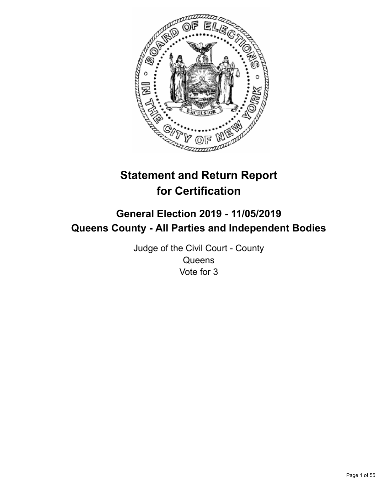

# **Statement and Return Report for Certification**

## **General Election 2019 - 11/05/2019 Queens County - All Parties and Independent Bodies**

Judge of the Civil Court - County **Queens** Vote for 3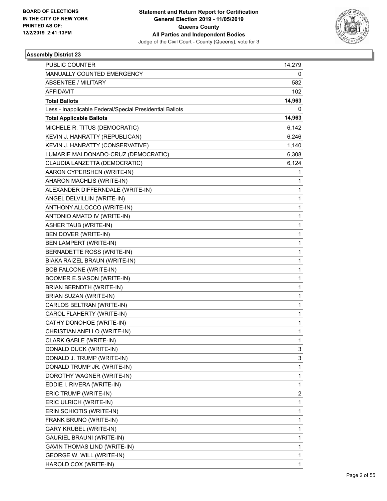

| <b>PUBLIC COUNTER</b>                                    | 14,279 |
|----------------------------------------------------------|--------|
| MANUALLY COUNTED EMERGENCY                               | 0      |
| <b>ABSENTEE / MILITARY</b>                               | 582    |
| <b>AFFIDAVIT</b>                                         | 102    |
| <b>Total Ballots</b>                                     | 14,963 |
| Less - Inapplicable Federal/Special Presidential Ballots | 0      |
| <b>Total Applicable Ballots</b>                          | 14,963 |
| MICHELE R. TITUS (DEMOCRATIC)                            | 6,142  |
| KEVIN J. HANRATTY (REPUBLICAN)                           | 6,246  |
| KEVIN J. HANRATTY (CONSERVATIVE)                         | 1,140  |
| LUMARIE MALDONADO-CRUZ (DEMOCRATIC)                      | 6,308  |
| CLAUDIA LANZETTA (DEMOCRATIC)                            | 6,124  |
| AARON CYPERSHEN (WRITE-IN)                               | 1      |
| AHARON MACHLIS (WRITE-IN)                                | 1      |
| ALEXANDER DIFFERNDALE (WRITE-IN)                         | 1      |
| ANGEL DELVILLIN (WRITE-IN)                               | 1      |
| ANTHONY ALLOCCO (WRITE-IN)                               | 1      |
| ANTONIO AMATO IV (WRITE-IN)                              | 1      |
| ASHER TAUB (WRITE-IN)                                    | 1      |
| BEN DOVER (WRITE-IN)                                     | 1      |
| BEN LAMPERT (WRITE-IN)                                   | 1      |
| BERNADETTE ROSS (WRITE-IN)                               | 1      |
| BIAKA RAIZEL BRAUN (WRITE-IN)                            | 1      |
| <b>BOB FALCONE (WRITE-IN)</b>                            | 1      |
| BOOMER E.SIASON (WRITE-IN)                               | 1      |
| BRIAN BERNDTH (WRITE-IN)                                 | 1      |
| BRIAN SUZAN (WRITE-IN)                                   | 1      |
| CARLOS BELTRAN (WRITE-IN)                                | 1      |
| CAROL FLAHERTY (WRITE-IN)                                | 1      |
| CATHY DONOHOE (WRITE-IN)                                 | 1      |
| CHRISTIAN ANELLO (WRITE-IN)                              | 1      |
| CLARK GABLE (WRITE-IN)                                   | 1      |
| DONALD DUCK (WRITE-IN)                                   | 3      |
| DONALD J. TRUMP (WRITE-IN)                               | 3      |
| DONALD TRUMP JR. (WRITE-IN)                              | 1      |
| DOROTHY WAGNER (WRITE-IN)                                | 1      |
| EDDIE I. RIVERA (WRITE-IN)                               | 1      |
| ERIC TRUMP (WRITE-IN)                                    | 2      |
| ERIC ULRICH (WRITE-IN)                                   | 1      |
| ERIN SCHIOTIS (WRITE-IN)                                 | 1      |
| FRANK BRUNO (WRITE-IN)                                   | 1      |
| GARY KRUBEL (WRITE-IN)                                   | 1      |
| GAURIEL BRAUNI (WRITE-IN)                                | 1      |
| GAVIN THOMAS LIND (WRITE-IN)                             | 1      |
| <b>GEORGE W. WILL (WRITE-IN)</b>                         | 1      |
| HAROLD COX (WRITE-IN)                                    | 1      |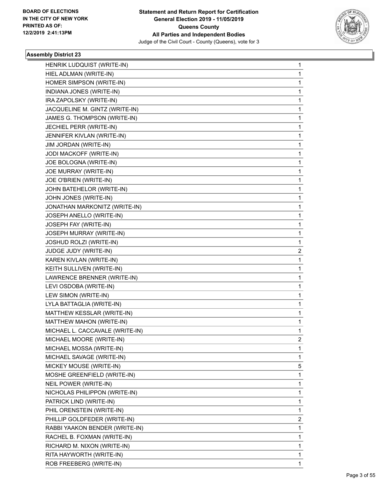

| HENRIK LUDQUIST (WRITE-IN)      | $\mathbf{1}$   |
|---------------------------------|----------------|
| HIEL ADLMAN (WRITE-IN)          | 1              |
| HOMER SIMPSON (WRITE-IN)        | 1              |
| INDIANA JONES (WRITE-IN)        | 1              |
| IRA ZAPOLSKY (WRITE-IN)         | 1              |
| JACQUELINE M. GINTZ (WRITE-IN)  | 1              |
| JAMES G. THOMPSON (WRITE-IN)    | $\mathbf{1}$   |
| JECHIEL PERR (WRITE-IN)         | 1              |
| JENNIFER KIVLAN (WRITE-IN)      | 1              |
| JIM JORDAN (WRITE-IN)           | 1              |
| JODI MACKOFF (WRITE-IN)         | 1              |
| JOE BOLOGNA (WRITE-IN)          | 1              |
| JOE MURRAY (WRITE-IN)           | $\mathbf{1}$   |
| JOE O'BRIEN (WRITE-IN)          | 1              |
| JOHN BATEHELOR (WRITE-IN)       | 1              |
| JOHN JONES (WRITE-IN)           | 1              |
| JONATHAN MARKONITZ (WRITE-IN)   | 1              |
| JOSEPH ANELLO (WRITE-IN)        | 1              |
| JOSEPH FAY (WRITE-IN)           | $\mathbf{1}$   |
| JOSEPH MURRAY (WRITE-IN)        | 1              |
| <b>JOSHUD ROLZI (WRITE-IN)</b>  | 1              |
| JUDGE JUDY (WRITE-IN)           | 2              |
| KAREN KIVLAN (WRITE-IN)         | 1              |
| KEITH SULLIVEN (WRITE-IN)       | 1              |
| LAWRENCE BRENNER (WRITE-IN)     | 1              |
| LEVI OSDOBA (WRITE-IN)          | $\mathbf{1}$   |
| LEW SIMON (WRITE-IN)            | 1              |
| LYLA BATTAGLIA (WRITE-IN)       | 1              |
| MATTHEW KESSLAR (WRITE-IN)      | 1              |
| MATTHEW MAHON (WRITE-IN)        | $\mathbf{1}$   |
| MICHAEL L. CACCAVALE (WRITE-IN) | 1              |
| MICHAEL MOORE (WRITE-IN)        | $\overline{2}$ |
| MICHAEL MOSSA (WRITE-IN)        | 1              |
| MICHAEL SAVAGE (WRITE-IN)       | 1              |
| MICKEY MOUSE (WRITE-IN)         | 5              |
| MOSHE GREENFIELD (WRITE-IN)     | 1              |
| NEIL POWER (WRITE-IN)           | 1              |
| NICHOLAS PHILIPPON (WRITE-IN)   | 1              |
| PATRICK LIND (WRITE-IN)         | 1              |
| PHIL ORENSTEIN (WRITE-IN)       | 1              |
| PHILLIP GOLDFEDER (WRITE-IN)    | 2              |
| RABBI YAAKON BENDER (WRITE-IN)  | 1              |
| RACHEL B. FOXMAN (WRITE-IN)     | 1              |
| RICHARD M. NIXON (WRITE-IN)     | 1              |
| RITA HAYWORTH (WRITE-IN)        | 1              |
| ROB FREEBERG (WRITE-IN)         | 1              |
|                                 |                |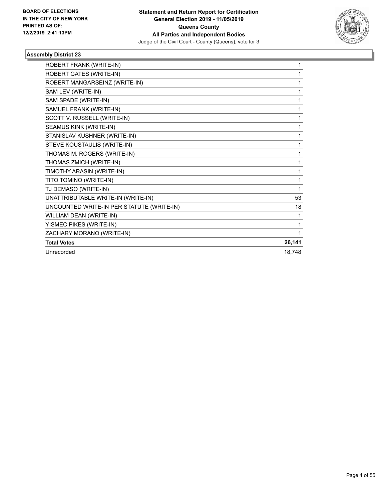

| ROBERT FRANK (WRITE-IN)                   | 1      |
|-------------------------------------------|--------|
| ROBERT GATES (WRITE-IN)                   | 1      |
| ROBERT MANGARSEINZ (WRITE-IN)             | 1      |
| SAM LEV (WRITE-IN)                        | 1      |
| SAM SPADE (WRITE-IN)                      | 1      |
| SAMUEL FRANK (WRITE-IN)                   | 1      |
| SCOTT V. RUSSELL (WRITE-IN)               | 1      |
| SEAMUS KINK (WRITE-IN)                    | 1      |
| STANISLAV KUSHNER (WRITE-IN)              | 1      |
| STEVE KOUSTAULIS (WRITE-IN)               | 1      |
| THOMAS M. ROGERS (WRITE-IN)               | 1      |
| THOMAS ZMICH (WRITE-IN)                   | 1      |
| TIMOTHY ARASIN (WRITE-IN)                 | 1      |
| TITO TOMINO (WRITE-IN)                    | 1      |
| TJ DEMASO (WRITE-IN)                      | 1      |
| UNATTRIBUTABLE WRITE-IN (WRITE-IN)        | 53     |
| UNCOUNTED WRITE-IN PER STATUTE (WRITE-IN) | 18     |
| WILLIAM DEAN (WRITE-IN)                   | 1      |
| YISMEC PIKES (WRITE-IN)                   | 1      |
| ZACHARY MORANO (WRITE-IN)                 | 1      |
| <b>Total Votes</b>                        | 26,141 |
| Unrecorded                                | 18,748 |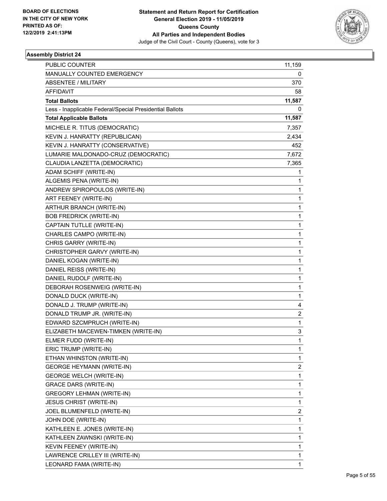

| PUBLIC COUNTER                                           | 11,159       |
|----------------------------------------------------------|--------------|
| MANUALLY COUNTED EMERGENCY                               | 0            |
| <b>ABSENTEE / MILITARY</b>                               | 370          |
| <b>AFFIDAVIT</b>                                         | 58           |
| <b>Total Ballots</b>                                     | 11,587       |
| Less - Inapplicable Federal/Special Presidential Ballots | 0            |
| <b>Total Applicable Ballots</b>                          | 11,587       |
| MICHELE R. TITUS (DEMOCRATIC)                            | 7,357        |
| KEVIN J. HANRATTY (REPUBLICAN)                           | 2,434        |
| KEVIN J. HANRATTY (CONSERVATIVE)                         | 452          |
| LUMARIE MALDONADO-CRUZ (DEMOCRATIC)                      | 7,672        |
| CLAUDIA LANZETTA (DEMOCRATIC)                            | 7,365        |
| ADAM SCHIFF (WRITE-IN)                                   | 1            |
| ALGEMIS PENA (WRITE-IN)                                  | 1            |
| ANDREW SPIROPOULOS (WRITE-IN)                            | 1            |
| ART FEENEY (WRITE-IN)                                    | 1            |
| ARTHUR BRANCH (WRITE-IN)                                 | 1            |
| <b>BOB FREDRICK (WRITE-IN)</b>                           | 1            |
| CAPTAIN TUTLLE (WRITE-IN)                                | 1            |
| CHARLES CAMPO (WRITE-IN)                                 | 1            |
| CHRIS GARRY (WRITE-IN)                                   | 1            |
| CHRISTOPHER GARVY (WRITE-IN)                             | 1            |
| DANIEL KOGAN (WRITE-IN)                                  | 1            |
| DANIEL REISS (WRITE-IN)                                  | 1            |
| DANIEL RUDOLF (WRITE-IN)                                 | 1            |
| DEBORAH ROSENWEIG (WRITE-IN)                             | 1            |
| DONALD DUCK (WRITE-IN)                                   | 1            |
| DONALD J. TRUMP (WRITE-IN)                               | 4            |
| DONALD TRUMP JR. (WRITE-IN)                              | 2            |
| EDWARD SZCMPRUCH (WRITE-IN)                              | 1            |
| ELIZABETH MACEWEN-TIMKEN (WRITE-IN)                      | 3            |
| ELMER FUDD (WRITE-IN)                                    | 1            |
| ERIC TRUMP (WRITE-IN)                                    | 1            |
| ETHAN WHINSTON (WRITE-IN)                                | 1            |
| <b>GEORGE HEYMANN (WRITE-IN)</b>                         | 2            |
| <b>GEORGE WELCH (WRITE-IN)</b>                           | $\mathbf{1}$ |
| <b>GRACE DARS (WRITE-IN)</b>                             | 1            |
| <b>GREGORY LEHMAN (WRITE-IN)</b>                         | 1            |
| <b>JESUS CHRIST (WRITE-IN)</b>                           | 1            |
| JOEL BLUMENFELD (WRITE-IN)                               | 2            |
| JOHN DOE (WRITE-IN)                                      | 1            |
| KATHLEEN E. JONES (WRITE-IN)                             | 1            |
| KATHLEEN ZAWNSKI (WRITE-IN)                              | 1            |
| KEVIN FEENEY (WRITE-IN)                                  | 1            |
| LAWRENCE CRILLEY III (WRITE-IN)                          | 1            |
| LEONARD FAMA (WRITE-IN)                                  | 1            |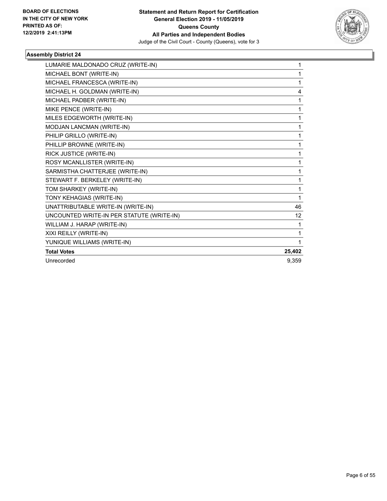

| LUMARIE MALDONADO CRUZ (WRITE-IN)         | 1      |
|-------------------------------------------|--------|
| MICHAEL BONT (WRITE-IN)                   | 1      |
| MICHAEL FRANCESCA (WRITE-IN)              | 1      |
| MICHAEL H. GOLDMAN (WRITE-IN)             | 4      |
| MICHAEL PADBER (WRITE-IN)                 | 1      |
| MIKE PENCE (WRITE-IN)                     | 1      |
| MILES EDGEWORTH (WRITE-IN)                | 1      |
| MODJAN LANCMAN (WRITE-IN)                 | 1      |
| PHILIP GRILLO (WRITE-IN)                  | 1      |
| PHILLIP BROWNE (WRITE-IN)                 | 1      |
| RICK JUSTICE (WRITE-IN)                   | 1      |
| ROSY MCANLLISTER (WRITE-IN)               | 1      |
| SARMISTHA CHATTERJEE (WRITE-IN)           | 1      |
| STEWART F. BERKELEY (WRITE-IN)            | 1      |
| TOM SHARKEY (WRITE-IN)                    | 1      |
| TONY KEHAGIAS (WRITE-IN)                  | 1      |
| UNATTRIBUTABLE WRITE-IN (WRITE-IN)        | 46     |
| UNCOUNTED WRITE-IN PER STATUTE (WRITE-IN) | 12     |
| WILLIAM J. HARAP (WRITE-IN)               | 1      |
| XIXI REILLY (WRITE-IN)                    | 1      |
| YUNIQUE WILLIAMS (WRITE-IN)               | 1      |
| <b>Total Votes</b>                        | 25,402 |
| Unrecorded                                | 9.359  |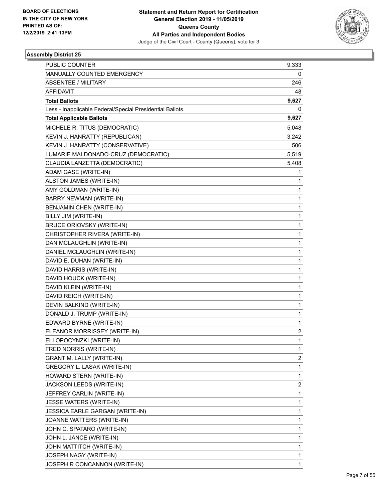

| <b>PUBLIC COUNTER</b>                                    | 9,333                   |
|----------------------------------------------------------|-------------------------|
| MANUALLY COUNTED EMERGENCY                               | 0                       |
| <b>ABSENTEE / MILITARY</b>                               | 246                     |
| AFFIDAVIT                                                | 48                      |
| <b>Total Ballots</b>                                     | 9,627                   |
| Less - Inapplicable Federal/Special Presidential Ballots | 0                       |
| <b>Total Applicable Ballots</b>                          | 9,627                   |
| MICHELE R. TITUS (DEMOCRATIC)                            | 5,048                   |
| KEVIN J. HANRATTY (REPUBLICAN)                           | 3,242                   |
| KEVIN J. HANRATTY (CONSERVATIVE)                         | 506                     |
| LUMARIE MALDONADO-CRUZ (DEMOCRATIC)                      | 5,519                   |
| CLAUDIA LANZETTA (DEMOCRATIC)                            | 5,408                   |
| ADAM GASE (WRITE-IN)                                     | 1                       |
| ALSTON JAMES (WRITE-IN)                                  | 1                       |
| AMY GOLDMAN (WRITE-IN)                                   | $\mathbf{1}$            |
| <b>BARRY NEWMAN (WRITE-IN)</b>                           | 1                       |
| BENJAMIN CHEN (WRITE-IN)                                 | 1                       |
| BILLY JIM (WRITE-IN)                                     | $\mathbf{1}$            |
| <b>BRUCE ORIOVSKY (WRITE-IN)</b>                         | $\mathbf{1}$            |
| CHRISTOPHER RIVERA (WRITE-IN)                            | 1                       |
| DAN MCLAUGHLIN (WRITE-IN)                                | $\mathbf{1}$            |
| DANIEL MCLAUGHLIN (WRITE-IN)                             | 1                       |
| DAVID E. DUHAN (WRITE-IN)                                | 1                       |
| DAVID HARRIS (WRITE-IN)                                  | $\mathbf{1}$            |
| DAVID HOUCK (WRITE-IN)                                   | $\mathbf{1}$            |
| DAVID KLEIN (WRITE-IN)                                   | 1                       |
| DAVID REICH (WRITE-IN)                                   | $\mathbf{1}$            |
| DEVIN BALKIND (WRITE-IN)                                 | 1                       |
| DONALD J. TRUMP (WRITE-IN)                               | 1                       |
| EDWARD BYRNE (WRITE-IN)                                  | $\mathbf{1}$            |
| ELEANOR MORRISSEY (WRITE-IN)                             | $\overline{\mathbf{c}}$ |
| ELI OPOCYNZKI (WRITE-IN)                                 | 1                       |
| FRED NORRIS (WRITE-IN)                                   | 1                       |
| <b>GRANT M. LALLY (WRITE-IN)</b>                         | 2                       |
| GREGORY L. LASAK (WRITE-IN)                              | 1                       |
| HOWARD STERN (WRITE-IN)                                  | $\mathbf{1}$            |
| JACKSON LEEDS (WRITE-IN)                                 | $\overline{\mathbf{c}}$ |
| JEFFREY CARLIN (WRITE-IN)                                | 1                       |
| JESSE WATERS (WRITE-IN)                                  | $\mathbf{1}$            |
| JESSICA EARLE GARGAN (WRITE-IN)                          | 1                       |
| JOANNE WATTERS (WRITE-IN)                                | 1                       |
| JOHN C. SPATARO (WRITE-IN)                               | $\mathbf{1}$            |
| JOHN L. JANCE (WRITE-IN)                                 | 1                       |
| JOHN MATTITCH (WRITE-IN)                                 | 1                       |
| JOSEPH NAGY (WRITE-IN)                                   | $\mathbf{1}$            |
| JOSEPH R CONCANNON (WRITE-IN)                            | 1                       |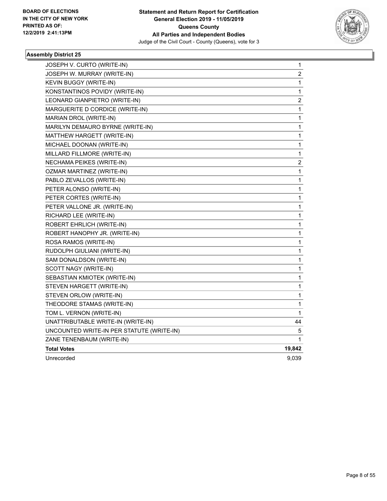

| JOSEPH V. CURTO (WRITE-IN)                | 1                       |
|-------------------------------------------|-------------------------|
| JOSEPH W. MURRAY (WRITE-IN)               | 2                       |
| KEVIN BUGGY (WRITE-IN)                    | 1                       |
| KONSTANTINOS POVIDY (WRITE-IN)            | 1                       |
| LEONARD GIANPIETRO (WRITE-IN)             | $\overline{\mathbf{c}}$ |
| MARGUERITE D CORDICE (WRITE-IN)           | $\mathbf 1$             |
| MARIAN DROL (WRITE-IN)                    | 1                       |
| MARILYN DEMAURO BYRNE (WRITE-IN)          | 1                       |
| MATTHEW HARGETT (WRITE-IN)                | 1                       |
| MICHAEL DOONAN (WRITE-IN)                 | 1                       |
| MILLARD FILLMORE (WRITE-IN)               | $\mathbf{1}$            |
| NECHAMA PEIKES (WRITE-IN)                 | 2                       |
| <b>OZMAR MARTINEZ (WRITE-IN)</b>          | 1                       |
| PABLO ZEVALLOS (WRITE-IN)                 | 1                       |
| PETER ALONSO (WRITE-IN)                   | 1                       |
| PETER CORTES (WRITE-IN)                   | $\mathbf{1}$            |
| PETER VALLONE JR. (WRITE-IN)              | 1                       |
| RICHARD LEE (WRITE-IN)                    | 1                       |
| ROBERT EHRLICH (WRITE-IN)                 | 1                       |
| ROBERT HANOPHY JR. (WRITE-IN)             | 1                       |
| ROSA RAMOS (WRITE-IN)                     | 1                       |
| RUDOLPH GIULIANI (WRITE-IN)               | 1                       |
| SAM DONALDSON (WRITE-IN)                  | 1                       |
| SCOTT NAGY (WRITE-IN)                     | 1                       |
| SEBASTIAN KMIOTEK (WRITE-IN)              | 1                       |
| STEVEN HARGETT (WRITE-IN)                 | 1                       |
| STEVEN ORLOW (WRITE-IN)                   | 1                       |
| THEODORE STAMAS (WRITE-IN)                | 1                       |
| TOM L. VERNON (WRITE-IN)                  | 1                       |
| UNATTRIBUTABLE WRITE-IN (WRITE-IN)        | 44                      |
| UNCOUNTED WRITE-IN PER STATUTE (WRITE-IN) | 5                       |
| ZANE TENENBAUM (WRITE-IN)                 | 1                       |
| <b>Total Votes</b>                        | 19,842                  |
| Unrecorded                                | 9,039                   |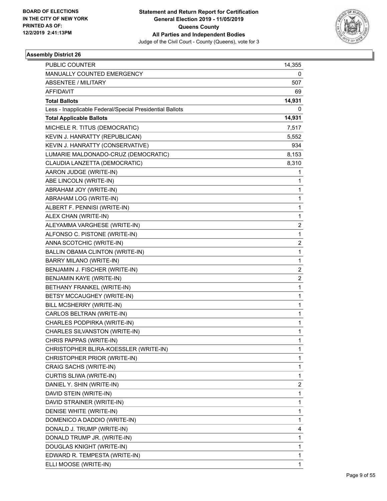

| <b>PUBLIC COUNTER</b>                                    | 14,355                  |
|----------------------------------------------------------|-------------------------|
| MANUALLY COUNTED EMERGENCY                               | 0                       |
| <b>ABSENTEE / MILITARY</b>                               | 507.                    |
| <b>AFFIDAVIT</b>                                         | 69                      |
| <b>Total Ballots</b>                                     | 14,931                  |
| Less - Inapplicable Federal/Special Presidential Ballots | 0                       |
| <b>Total Applicable Ballots</b>                          | 14,931                  |
| MICHELE R. TITUS (DEMOCRATIC)                            | 7,517                   |
| KEVIN J. HANRATTY (REPUBLICAN)                           | 5,552                   |
| KEVIN J. HANRATTY (CONSERVATIVE)                         | 934                     |
| LUMARIE MALDONADO-CRUZ (DEMOCRATIC)                      | 8,153                   |
| CLAUDIA LANZETTA (DEMOCRATIC)                            | 8,310                   |
| AARON JUDGE (WRITE-IN)                                   | 1                       |
| ABE LINCOLN (WRITE-IN)                                   | 1                       |
| ABRAHAM JOY (WRITE-IN)                                   | 1                       |
| ABRAHAM LOG (WRITE-IN)                                   | 1                       |
| ALBERT F. PENNISI (WRITE-IN)                             | 1                       |
| ALEX CHAN (WRITE-IN)                                     | 1                       |
| ALEYAMMA VARGHESE (WRITE-IN)                             | $\overline{2}$          |
| ALFONSO C. PISTONE (WRITE-IN)                            | 1                       |
| ANNA SCOTCHIC (WRITE-IN)                                 | 2                       |
| BALLIN OBAMA CLINTON (WRITE-IN)                          | 1                       |
| BARRY MILANO (WRITE-IN)                                  | 1                       |
| BENJAMIN J. FISCHER (WRITE-IN)                           | $\overline{\mathbf{c}}$ |
| BENJAMIN KAYE (WRITE-IN)                                 | $\overline{2}$          |
| BETHANY FRANKEL (WRITE-IN)                               | 1                       |
| BETSY MCCAUGHEY (WRITE-IN)                               | 1                       |
| BILL MCSHERRY (WRITE-IN)                                 | 1                       |
| CARLOS BELTRAN (WRITE-IN)                                | 1                       |
| CHARLES PODPIRKA (WRITE-IN)                              | 1                       |
| CHARLES SILVANSTON (WRITE-IN)                            | 1                       |
| CHRIS PAPPAS (WRITE-IN)                                  | 1                       |
| CHRISTOPHER BLIRA-KOESSLER (WRITE-IN)                    | 1                       |
| CHRISTOPHER PRIOR (WRITE-IN)                             | 1                       |
| CRAIG SACHS (WRITE-IN)                                   | 1                       |
| CURTIS SLIWA (WRITE-IN)                                  | 1                       |
| DANIEL Y. SHIN (WRITE-IN)                                | 2                       |
| DAVID STEIN (WRITE-IN)                                   | 1                       |
| DAVID STRAINER (WRITE-IN)                                | 1                       |
| DENISE WHITE (WRITE-IN)                                  | 1                       |
| DOMENICO A DADDIO (WRITE-IN)                             | 1                       |
| DONALD J. TRUMP (WRITE-IN)                               | 4                       |
| DONALD TRUMP JR. (WRITE-IN)                              | 1                       |
| DOUGLAS KNIGHT (WRITE-IN)                                | 1                       |
| EDWARD R. TEMPESTA (WRITE-IN)                            | 1                       |
| ELLI MOOSE (WRITE-IN)                                    | 1                       |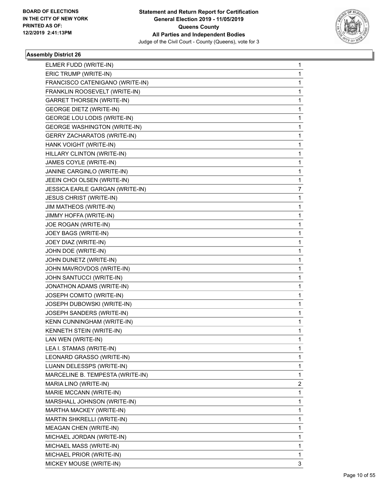

| ELMER FUDD (WRITE-IN)               | 1 |
|-------------------------------------|---|
| ERIC TRUMP (WRITE-IN)               | 1 |
| FRANCISCO CATENIGANO (WRITE-IN)     | 1 |
| FRANKLIN ROOSEVELT (WRITE-IN)       | 1 |
| <b>GARRET THORSEN (WRITE-IN)</b>    | 1 |
| <b>GEORGE DIETZ (WRITE-IN)</b>      | 1 |
| GEORGE LOU LODIS (WRITE-IN)         | 1 |
| <b>GEORGE WASHINGTON (WRITE-IN)</b> | 1 |
| <b>GERRY ZACHARATOS (WRITE-IN)</b>  | 1 |
| HANK VOIGHT (WRITE-IN)              | 1 |
| HILLARY CLINTON (WRITE-IN)          | 1 |
| JAMES COYLE (WRITE-IN)              | 1 |
| JANINE CARGINLO (WRITE-IN)          | 1 |
| JEEIN CHOI OLSEN (WRITE-IN)         | 1 |
| JESSICA EARLE GARGAN (WRITE-IN)     | 7 |
| <b>JESUS CHRIST (WRITE-IN)</b>      | 1 |
| JIM MATHEOS (WRITE-IN)              | 1 |
| JIMMY HOFFA (WRITE-IN)              | 1 |
| JOE ROGAN (WRITE-IN)                | 1 |
| JOEY BAGS (WRITE-IN)                | 1 |
| JOEY DIAZ (WRITE-IN)                | 1 |
| JOHN DOE (WRITE-IN)                 | 1 |
| JOHN DUNETZ (WRITE-IN)              | 1 |
| JOHN MAVROVDOS (WRITE-IN)           | 1 |
| JOHN SANTUCCI (WRITE-IN)            | 1 |
| JONATHON ADAMS (WRITE-IN)           | 1 |
| JOSEPH COMITO (WRITE-IN)            | 1 |
| JOSEPH DUBOWSKI (WRITE-IN)          | 1 |
| JOSEPH SANDERS (WRITE-IN)           | 1 |
| KENN CUNNINGHAM (WRITE-IN)          | 1 |
| KENNETH STEIN (WRITE-IN)            | 1 |
| LAN WEN (WRITE-IN)                  | 1 |
| LEA I. STAMAS (WRITE-IN)            | 1 |
| LEONARD GRASSO (WRITE-IN)           | 1 |
| LUANN DELESSPS (WRITE-IN)           | 1 |
| MARCELINE B. TEMPESTA (WRITE-IN)    | 1 |
| MARIA LINO (WRITE-IN)               | 2 |
| MARIE MCCANN (WRITE-IN)             | 1 |
| MARSHALL JOHNSON (WRITE-IN)         | 1 |
| MARTHA MACKEY (WRITE-IN)            | 1 |
| MARTIN SHKRELLI (WRITE-IN)          | 1 |
| <b>MEAGAN CHEN (WRITE-IN)</b>       | 1 |
| MICHAEL JORDAN (WRITE-IN)           | 1 |
| MICHAEL MASS (WRITE-IN)             | 1 |
| MICHAEL PRIOR (WRITE-IN)            | 1 |
| MICKEY MOUSE (WRITE-IN)             | 3 |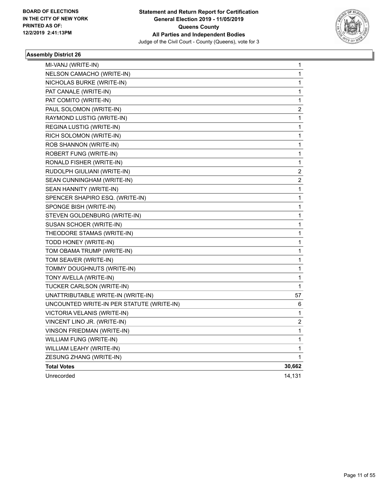

| MI-VANJ (WRITE-IN)                        | 1                       |
|-------------------------------------------|-------------------------|
| NELSON CAMACHO (WRITE-IN)                 | 1                       |
| NICHOLAS BURKE (WRITE-IN)                 | 1                       |
| PAT CANALE (WRITE-IN)                     | 1                       |
| PAT COMITO (WRITE-IN)                     | 1                       |
| PAUL SOLOMON (WRITE-IN)                   | 2                       |
| RAYMOND LUSTIG (WRITE-IN)                 | 1                       |
| REGINA LUSTIG (WRITE-IN)                  | 1                       |
| RICH SOLOMON (WRITE-IN)                   | 1                       |
| ROB SHANNON (WRITE-IN)                    | 1                       |
| ROBERT FUNG (WRITE-IN)                    | 1                       |
| RONALD FISHER (WRITE-IN)                  | 1                       |
| RUDOLPH GIULIANI (WRITE-IN)               | $\boldsymbol{2}$        |
| SEAN CUNNINGHAM (WRITE-IN)                | $\overline{\mathbf{c}}$ |
| SEAN HANNITY (WRITE-IN)                   | 1                       |
| SPENCER SHAPIRO ESQ. (WRITE-IN)           | 1                       |
| SPONGE BISH (WRITE-IN)                    | 1                       |
| STEVEN GOLDENBURG (WRITE-IN)              | 1                       |
| SUSAN SCHOER (WRITE-IN)                   | 1                       |
| THEODORE STAMAS (WRITE-IN)                | 1                       |
| TODD HONEY (WRITE-IN)                     | 1                       |
| TOM OBAMA TRUMP (WRITE-IN)                | 1                       |
| TOM SEAVER (WRITE-IN)                     | 1                       |
| TOMMY DOUGHNUTS (WRITE-IN)                | 1                       |
| TONY AVELLA (WRITE-IN)                    | 1                       |
| TUCKER CARLSON (WRITE-IN)                 | 1                       |
| UNATTRIBUTABLE WRITE-IN (WRITE-IN)        | 57                      |
| UNCOUNTED WRITE-IN PER STATUTE (WRITE-IN) | 6                       |
| VICTORIA VELANIS (WRITE-IN)               | 1                       |
| VINCENT LINO JR. (WRITE-IN)               | 2                       |
| VINSON FRIEDMAN (WRITE-IN)                | 1                       |
| WILLIAM FUNG (WRITE-IN)                   | 1                       |
| WILLIAM LEAHY (WRITE-IN)                  | 1                       |
| ZESUNG ZHANG (WRITE-IN)                   | 1                       |
| <b>Total Votes</b>                        | 30,662                  |
| Unrecorded                                | 14,131                  |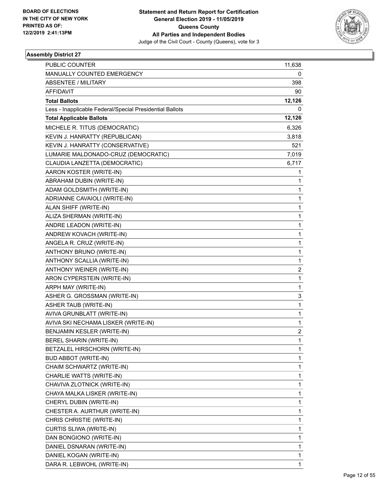

| <b>PUBLIC COUNTER</b>                                    | 11,638                  |
|----------------------------------------------------------|-------------------------|
| MANUALLY COUNTED EMERGENCY                               | 0                       |
| <b>ABSENTEE / MILITARY</b>                               | 398                     |
| <b>AFFIDAVIT</b>                                         | 90                      |
| <b>Total Ballots</b>                                     | 12,126                  |
| Less - Inapplicable Federal/Special Presidential Ballots | 0                       |
| <b>Total Applicable Ballots</b>                          | 12,126                  |
| MICHELE R. TITUS (DEMOCRATIC)                            | 6,326                   |
| KEVIN J. HANRATTY (REPUBLICAN)                           | 3,818                   |
| KEVIN J. HANRATTY (CONSERVATIVE)                         | 521                     |
| LUMARIE MALDONADO-CRUZ (DEMOCRATIC)                      | 7,019                   |
| CLAUDIA LANZETTA (DEMOCRATIC)                            | 6,717                   |
| AARON KOSTER (WRITE-IN)                                  | 1                       |
| ABRAHAM DUBIN (WRITE-IN)                                 | 1                       |
| ADAM GOLDSMITH (WRITE-IN)                                | 1                       |
| ADRIANNE CAVAIOLI (WRITE-IN)                             | 1                       |
| ALAN SHIFF (WRITE-IN)                                    | $\mathbf{1}$            |
| ALIZA SHERMAN (WRITE-IN)                                 | 1                       |
| ANDRE LEADON (WRITE-IN)                                  | 1                       |
| ANDREW KOVACH (WRITE-IN)                                 | 1                       |
| ANGELA R. CRUZ (WRITE-IN)                                | 1                       |
| ANTHONY BRUNO (WRITE-IN)                                 | 1                       |
| ANTHONY SCALLIA (WRITE-IN)                               | $\mathbf{1}$            |
| ANTHONY WEINER (WRITE-IN)                                | 2                       |
| ARON CYPERSTEIN (WRITE-IN)                               | 1                       |
| ARPH MAY (WRITE-IN)                                      | $\mathbf{1}$            |
| ASHER G. GROSSMAN (WRITE-IN)                             | 3                       |
| ASHER TAUB (WRITE-IN)                                    | 1                       |
| AVIVA GRUNBLATT (WRITE-IN)                               | $\mathbf{1}$            |
| AVIVA SKI NECHAMA LISKER (WRITE-IN)                      | 1                       |
| BENJAMIN KESLER (WRITE-IN)                               | $\overline{\mathbf{c}}$ |
| <b>BEREL SHARIN (WRITE-IN)</b>                           | 1                       |
| BETZALEL HIRSCHORN (WRITE-IN)                            | 1                       |
| <b>BUD ABBOT (WRITE-IN)</b>                              | 1                       |
| CHAIM SCHWARTZ (WRITE-IN)                                | 1                       |
| CHARLIE WATTS (WRITE-IN)                                 | 1                       |
| CHAVIVA ZLOTNICK (WRITE-IN)                              | 1                       |
| CHAYA MALKA LISKER (WRITE-IN)                            | 1                       |
| CHERYL DUBIN (WRITE-IN)                                  | 1                       |
| CHESTER A. AURTHUR (WRITE-IN)                            | 1                       |
| CHRIS CHRISTIE (WRITE-IN)                                | 1                       |
| CURTIS SLIWA (WRITE-IN)                                  | 1                       |
| DAN BONGIONO (WRITE-IN)                                  | 1                       |
| DANIEL DSNARAN (WRITE-IN)                                | 1                       |
| DANIEL KOGAN (WRITE-IN)                                  | 1                       |
| DARA R. LEBWOHL (WRITE-IN)                               | 1                       |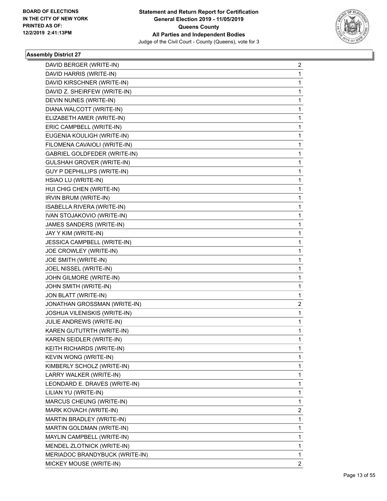

| DAVID BERGER (WRITE-IN)          | $\overline{a}$ |
|----------------------------------|----------------|
| DAVID HARRIS (WRITE-IN)          | $\mathbf{1}$   |
| DAVID KIRSCHNER (WRITE-IN)       | $\mathbf{1}$   |
| DAVID Z. SHEIRFEW (WRITE-IN)     | 1              |
| DEVIN NUNES (WRITE-IN)           | $\mathbf 1$    |
| DIANA WALCOTT (WRITE-IN)         | 1              |
| ELIZABETH AMER (WRITE-IN)        | 1              |
| ERIC CAMPBELL (WRITE-IN)         | $\mathbf 1$    |
| EUGENIA KOULIGH (WRITE-IN)       | 1              |
| FILOMENA CAVAIOLI (WRITE-IN)     | 1              |
| GABRIEL GOLDFEDER (WRITE-IN)     | 1              |
| <b>GULSHAH GROVER (WRITE-IN)</b> | 1              |
| GUY P DEPHILLIPS (WRITE-IN)      | 1              |
| HSIAO LU (WRITE-IN)              | $\mathbf 1$    |
| HUI CHIG CHEN (WRITE-IN)         | 1              |
| IRVIN BRUM (WRITE-IN)            | 1              |
| ISABELLA RIVERA (WRITE-IN)       | 1              |
| IVAN STOJAKOVIO (WRITE-IN)       | 1              |
| JAMES SANDERS (WRITE-IN)         | 1              |
| JAY Y KIM (WRITE-IN)             | $\mathbf 1$    |
| JESSICA CAMPBELL (WRITE-IN)      | 1              |
| JOE CROWLEY (WRITE-IN)           | 1              |
| JOE SMITH (WRITE-IN)             | 1              |
| JOEL NISSEL (WRITE-IN)           | 1              |
| JOHN GILMORE (WRITE-IN)          | 1              |
| JOHN SMITH (WRITE-IN)            | $\mathbf{1}$   |
| JON BLATT (WRITE-IN)             | 1              |
| JONATHAN GROSSMAN (WRITE-IN)     | 2              |
| JOSHUA VILENISKIS (WRITE-IN)     | $\mathbf 1$    |
| JULIE ANDREWS (WRITE-IN)         | $\mathbf{1}$   |
| KAREN GUTUTRTH (WRITE-IN)        | 1              |
| KAREN SEIDLER (WRITE-IN)         | $\mathbf{1}$   |
| KEITH RICHARDS (WRITE-IN)        | 1              |
| KEVIN WONG (WRITE-IN)            | 1              |
| KIMBERLY SCHOLZ (WRITE-IN)       | $\mathbf{1}$   |
| LARRY WALKER (WRITE-IN)          | 1              |
| LEONDARD E. DRAVES (WRITE-IN)    | 1              |
| LILIAN YU (WRITE-IN)             | $\mathbf{1}$   |
| MARCUS CHEUNG (WRITE-IN)         | 1              |
| MARK KOVACH (WRITE-IN)           | 2              |
| MARTIN BRADLEY (WRITE-IN)        | 1              |
| MARTIN GOLDMAN (WRITE-IN)        | 1              |
| MAYLIN CAMPBELL (WRITE-IN)       | 1              |
| MENDEL ZLOTNICK (WRITE-IN)       | $\mathbf{1}$   |
| MERIADOC BRANDYBUCK (WRITE-IN)   | $\mathbf{1}$   |
| MICKEY MOUSE (WRITE-IN)          | $\mathbf{2}$   |
|                                  |                |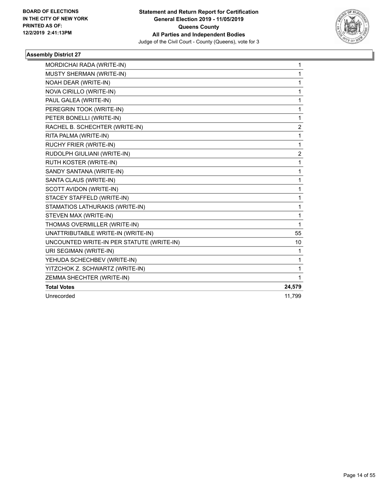

| MORDICHAI RADA (WRITE-IN)                 | $\mathbf{1}$ |
|-------------------------------------------|--------------|
| MUSTY SHERMAN (WRITE-IN)                  | 1            |
| NOAH DEAR (WRITE-IN)                      | 1            |
| NOVA CIRILLO (WRITE-IN)                   | 1            |
| PAUL GALEA (WRITE-IN)                     | 1            |
| PEREGRIN TOOK (WRITE-IN)                  | 1            |
| PETER BONELLI (WRITE-IN)                  | $\mathbf{1}$ |
| RACHEL B. SCHECHTER (WRITE-IN)            | 2            |
| RITA PALMA (WRITE-IN)                     | 1            |
| RUCHY FRIER (WRITE-IN)                    | 1            |
| RUDOLPH GIULIANI (WRITE-IN)               | 2            |
| RUTH KOSTER (WRITE-IN)                    | $\mathbf{1}$ |
| SANDY SANTANA (WRITE-IN)                  | 1            |
| SANTA CLAUS (WRITE-IN)                    | 1            |
| SCOTT AVIDON (WRITE-IN)                   | 1            |
| STACEY STAFFELD (WRITE-IN)                | 1            |
| STAMATIOS LATHURAKIS (WRITE-IN)           | 1            |
| STEVEN MAX (WRITE-IN)                     | 1            |
| THOMAS OVERMILLER (WRITE-IN)              | 1            |
| UNATTRIBUTABLE WRITE-IN (WRITE-IN)        | 55           |
| UNCOUNTED WRITE-IN PER STATUTE (WRITE-IN) | 10           |
| URI SEGIMAN (WRITE-IN)                    | 1            |
| YEHUDA SCHECHBEV (WRITE-IN)               | 1            |
| YITZCHOK Z. SCHWARTZ (WRITE-IN)           | 1            |
| ZEMMA SHECHTER (WRITE-IN)                 | 1            |
| <b>Total Votes</b>                        | 24,579       |
| Unrecorded                                | 11.799       |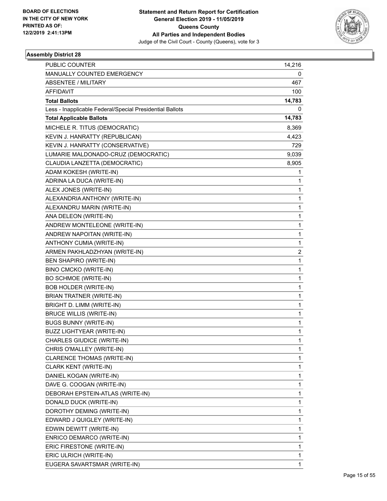

| <b>PUBLIC COUNTER</b>                                    | 14,216 |
|----------------------------------------------------------|--------|
| MANUALLY COUNTED EMERGENCY                               | 0      |
| ABSENTEE / MILITARY                                      | 467    |
| <b>AFFIDAVIT</b>                                         | 100    |
| <b>Total Ballots</b>                                     | 14,783 |
| Less - Inapplicable Federal/Special Presidential Ballots | 0      |
| <b>Total Applicable Ballots</b>                          | 14,783 |
| MICHELE R. TITUS (DEMOCRATIC)                            | 8,369  |
| KEVIN J. HANRATTY (REPUBLICAN)                           | 4,423  |
| KEVIN J. HANRATTY (CONSERVATIVE)                         | 729    |
| LUMARIE MALDONADO-CRUZ (DEMOCRATIC)                      | 9,039  |
| CLAUDIA LANZETTA (DEMOCRATIC)                            | 8,905  |
| ADAM KOKESH (WRITE-IN)                                   | 1      |
| ADRINA LA DUCA (WRITE-IN)                                | 1      |
| ALEX JONES (WRITE-IN)                                    | 1      |
| ALEXANDRIA ANTHONY (WRITE-IN)                            | 1      |
| ALEXANDRU MARIN (WRITE-IN)                               | 1      |
| ANA DELEON (WRITE-IN)                                    | 1      |
| ANDREW MONTELEONE (WRITE-IN)                             | 1      |
| ANDREW NAPOITAN (WRITE-IN)                               | 1      |
| <b>ANTHONY CUMIA (WRITE-IN)</b>                          | 1      |
| ARMEN PAKHLADZHYAN (WRITE-IN)                            | 2      |
| BEN SHAPIRO (WRITE-IN)                                   | 1      |
| BINO CMCKO (WRITE-IN)                                    | 1      |
| BO SCHMOE (WRITE-IN)                                     | 1      |
| <b>BOB HOLDER (WRITE-IN)</b>                             | 1      |
| <b>BRIAN TRATNER (WRITE-IN)</b>                          | 1      |
| BRIGHT D. LIMM (WRITE-IN)                                | 1      |
| <b>BRUCE WILLIS (WRITE-IN)</b>                           | 1      |
| <b>BUGS BUNNY (WRITE-IN)</b>                             | 1      |
| <b>BUZZ LIGHTYEAR (WRITE-IN)</b>                         | 1      |
| CHARLES GIUDICE (WRITE-IN)                               | 1      |
| CHRIS O'MALLEY (WRITE-IN)                                | 1      |
| CLARENCE THOMAS (WRITE-IN)                               | 1      |
| CLARK KENT (WRITE-IN)                                    | 1      |
| DANIEL KOGAN (WRITE-IN)                                  | 1      |
| DAVE G. COOGAN (WRITE-IN)                                | 1      |
| DEBORAH EPSTEIN-ATLAS (WRITE-IN)                         | 1      |
| DONALD DUCK (WRITE-IN)                                   | 1      |
| DOROTHY DEMING (WRITE-IN)                                | 1      |
| EDWARD J QUIGLEY (WRITE-IN)                              | 1      |
| EDWIN DEWITT (WRITE-IN)                                  | 1      |
| ENRICO DEMARCO (WRITE-IN)                                | 1      |
| ERIC FIRESTONE (WRITE-IN)                                | 1      |
| ERIC ULRICH (WRITE-IN)                                   | 1      |
| EUGERA SAVARTSMAR (WRITE-IN)                             | 1      |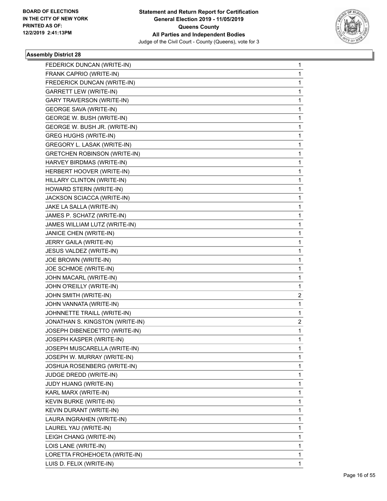

| FEDERICK DUNCAN (WRITE-IN)          | 1            |
|-------------------------------------|--------------|
| FRANK CAPRIO (WRITE-IN)             | $\mathbf{1}$ |
| FREDERICK DUNCAN (WRITE-IN)         | 1            |
| <b>GARRETT LEW (WRITE-IN)</b>       | 1            |
| <b>GARY TRAVERSON (WRITE-IN)</b>    | 1            |
| <b>GEORGE SAVA (WRITE-IN)</b>       | 1            |
| GEORGE W. BUSH (WRITE-IN)           | 1            |
| GEORGE W. BUSH JR. (WRITE-IN)       | $\mathbf{1}$ |
| <b>GREG HUGHS (WRITE-IN)</b>        | 1            |
| GREGORY L. LASAK (WRITE-IN)         | 1            |
| <b>GRETCHEN ROBINSON (WRITE-IN)</b> | 1            |
| HARVEY BIRDMAS (WRITE-IN)           | 1            |
| HERBERT HOOVER (WRITE-IN)           | 1            |
| HILLARY CLINTON (WRITE-IN)          | $\mathbf{1}$ |
| HOWARD STERN (WRITE-IN)             | 1            |
| JACKSON SCIACCA (WRITE-IN)          | 1            |
| JAKE LA SALLA (WRITE-IN)            | 1            |
| JAMES P. SCHATZ (WRITE-IN)          | 1            |
| JAMES WILLIAM LUTZ (WRITE-IN)       | 1            |
| JANICE CHEN (WRITE-IN)              | $\mathbf{1}$ |
| JERRY GAILA (WRITE-IN)              | 1            |
| JESUS VALDEZ (WRITE-IN)             | 1            |
| JOE BROWN (WRITE-IN)                | 1            |
| JOE SCHMOE (WRITE-IN)               | 1            |
| JOHN MACARL (WRITE-IN)              | 1            |
| JOHN O'REILLY (WRITE-IN)            | 1            |
| JOHN SMITH (WRITE-IN)               | 2            |
| JOHN VANNATA (WRITE-IN)             | 1            |
| JOHNNETTE TRAILL (WRITE-IN)         | 1            |
| JONATHAN S. KINGSTON (WRITE-IN)     | 2            |
| JOSEPH DIBENEDETTO (WRITE-IN)       | 1            |
| JOSEPH KASPER (WRITE-IN)            | $\mathbf{1}$ |
| JOSEPH MUSCARELLA (WRITE-IN)        | 1            |
| JOSEPH W. MURRAY (WRITE-IN)         | 1            |
| JOSHUA ROSENBERG (WRITE-IN)         | 1            |
| JUDGE DREDD (WRITE-IN)              | 1            |
| JUDY HUANG (WRITE-IN)               | 1            |
| KARL MARX (WRITE-IN)                | 1            |
| KEVIN BURKE (WRITE-IN)              | 1            |
| KEVIN DURANT (WRITE-IN)             | 1            |
| LAURA INGRAHEN (WRITE-IN)           | 1            |
| LAUREL YAU (WRITE-IN)               | 1            |
| LEIGH CHANG (WRITE-IN)              | 1            |
| LOIS LANE (WRITE-IN)                | 1            |
| LORETTA FROHEHOETA (WRITE-IN)       | 1            |
| LUIS D. FELIX (WRITE-IN)            | 1            |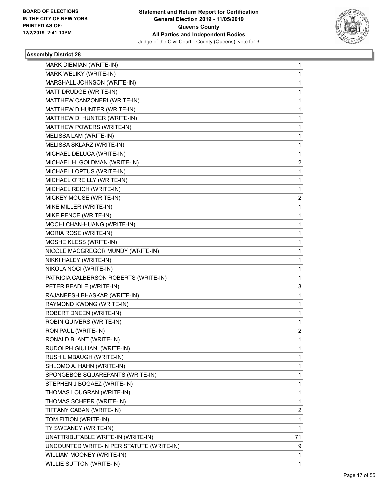

| <b>MARK DIEMIAN (WRITE-IN)</b>            | 1  |
|-------------------------------------------|----|
| MARK WELIKY (WRITE-IN)                    | 1  |
| MARSHALL JOHNSON (WRITE-IN)               | 1  |
| MATT DRUDGE (WRITE-IN)                    | 1  |
| MATTHEW CANZONERI (WRITE-IN)              | 1  |
| MATTHEW D HUNTER (WRITE-IN)               | 1  |
| MATTHEW D. HUNTER (WRITE-IN)              | 1  |
| MATTHEW POWERS (WRITE-IN)                 | 1  |
| MELISSA LAM (WRITE-IN)                    | 1  |
| MELISSA SKLARZ (WRITE-IN)                 | 1  |
| MICHAEL DELUCA (WRITE-IN)                 | 1  |
| MICHAEL H. GOLDMAN (WRITE-IN)             | 2  |
| MICHAEL LOPTUS (WRITE-IN)                 | 1  |
| MICHAEL O'REILLY (WRITE-IN)               | 1  |
| MICHAEL REICH (WRITE-IN)                  | 1  |
| MICKEY MOUSE (WRITE-IN)                   | 2  |
| MIKE MILLER (WRITE-IN)                    | 1  |
| MIKE PENCE (WRITE-IN)                     | 1  |
| MOCHI CHAN-HUANG (WRITE-IN)               | 1  |
| MORIA ROSE (WRITE-IN)                     | 1  |
| MOSHE KLESS (WRITE-IN)                    | 1  |
| NICOLE MACGREGOR MUNDY (WRITE-IN)         | 1  |
| NIKKI HALEY (WRITE-IN)                    | 1  |
| NIKOLA NOCI (WRITE-IN)                    | 1  |
| PATRICIA CALBERSON ROBERTS (WRITE-IN)     | 1  |
| PETER BEADLE (WRITE-IN)                   | 3  |
| RAJANEESH BHASKAR (WRITE-IN)              | 1  |
| RAYMOND KWONG (WRITE-IN)                  | 1  |
| ROBERT DNEEN (WRITE-IN)                   | 1  |
| ROBIN QUIVERS (WRITE-IN)                  | 1  |
| RON PAUL (WRITE-IN)                       | 2  |
| RONALD BLANT (WRITE-IN)                   | 1  |
| RUDOLPH GIULIANI (WRITE-IN)               | 1  |
| RUSH LIMBAUGH (WRITE-IN)                  | 1  |
| SHLOMO A. HAHN (WRITE-IN)                 | 1  |
| SPONGEBOB SQUAREPANTS (WRITE-IN)          | 1  |
| STEPHEN J BOGAEZ (WRITE-IN)               | 1  |
| THOMAS LOUGRAN (WRITE-IN)                 | 1  |
| THOMAS SCHEER (WRITE-IN)                  | 1  |
| TIFFANY CABAN (WRITE-IN)                  | 2  |
| TOM FITION (WRITE-IN)                     | 1  |
| TY SWEANEY (WRITE-IN)                     | 1  |
| UNATTRIBUTABLE WRITE-IN (WRITE-IN)        | 71 |
| UNCOUNTED WRITE-IN PER STATUTE (WRITE-IN) | 9  |
| WILLIAM MOONEY (WRITE-IN)                 | 1  |
| <b>WILLIE SUTTON (WRITE-IN)</b>           | 1  |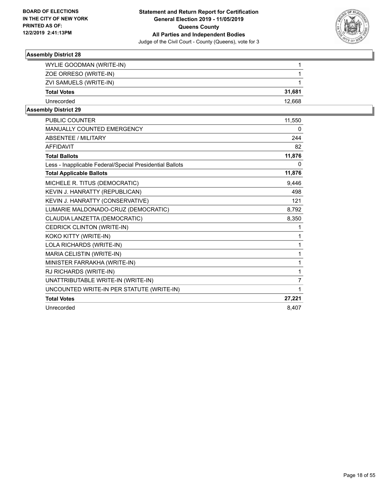

| WYLIE GOODMAN (WRITE-IN) |        |
|--------------------------|--------|
| ZOE ORRESO (WRITE-IN)    |        |
| ZVI SAMUELS (WRITE-IN)   |        |
| <b>Total Votes</b>       | 31.681 |
| Unrecorded               | 12.668 |
|                          |        |

| <b>PUBLIC COUNTER</b>                                    | 11,550         |
|----------------------------------------------------------|----------------|
| MANUALLY COUNTED EMERGENCY                               | 0              |
| <b>ABSENTEE / MILITARY</b>                               | 244            |
| <b>AFFIDAVIT</b>                                         | 82             |
| <b>Total Ballots</b>                                     | 11,876         |
| Less - Inapplicable Federal/Special Presidential Ballots | 0              |
| <b>Total Applicable Ballots</b>                          | 11,876         |
| MICHELE R. TITUS (DEMOCRATIC)                            | 9,446          |
| KEVIN J. HANRATTY (REPUBLICAN)                           | 498            |
| KEVIN J. HANRATTY (CONSERVATIVE)                         | 121            |
| LUMARIE MALDONADO-CRUZ (DEMOCRATIC)                      | 8,792          |
| CLAUDIA LANZETTA (DEMOCRATIC)                            | 8,350          |
| CEDRICK CLINTON (WRITE-IN)                               | 1              |
| KOKO KITTY (WRITE-IN)                                    | 1              |
| LOLA RICHARDS (WRITE-IN)                                 | 1              |
| MARIA CELISTIN (WRITE-IN)                                | 1              |
| MINISTER FARRAKHA (WRITE-IN)                             | 1              |
| RJ RICHARDS (WRITE-IN)                                   | 1              |
| UNATTRIBUTABLE WRITE-IN (WRITE-IN)                       | $\overline{7}$ |
| UNCOUNTED WRITE-IN PER STATUTE (WRITE-IN)                | 1              |
| <b>Total Votes</b>                                       | 27,221         |
| Unrecorded                                               | 8,407          |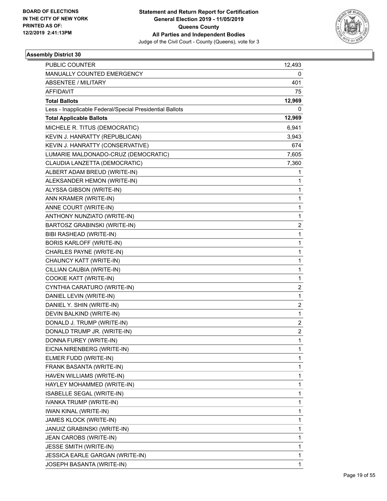

| <b>PUBLIC COUNTER</b>                                    | 12,493                  |
|----------------------------------------------------------|-------------------------|
| MANUALLY COUNTED EMERGENCY                               | 0                       |
| <b>ABSENTEE / MILITARY</b>                               | 401                     |
| AFFIDAVIT                                                | 75                      |
| <b>Total Ballots</b>                                     | 12,969                  |
| Less - Inapplicable Federal/Special Presidential Ballots | 0                       |
| <b>Total Applicable Ballots</b>                          | 12,969                  |
| MICHELE R. TITUS (DEMOCRATIC)                            | 6,941                   |
| KEVIN J. HANRATTY (REPUBLICAN)                           | 3,943                   |
| KEVIN J. HANRATTY (CONSERVATIVE)                         | 674                     |
| LUMARIE MALDONADO-CRUZ (DEMOCRATIC)                      | 7,605                   |
| CLAUDIA LANZETTA (DEMOCRATIC)                            | 7,360                   |
| ALBERT ADAM BREUD (WRITE-IN)                             | 1                       |
| ALEKSANDER HEMON (WRITE-IN)                              | 1                       |
| ALYSSA GIBSON (WRITE-IN)                                 | 1                       |
| ANN KRAMER (WRITE-IN)                                    | 1                       |
| ANNE COURT (WRITE-IN)                                    | 1                       |
| ANTHONY NUNZIATO (WRITE-IN)                              | 1                       |
| BARTOSZ GRABINSKI (WRITE-IN)                             | $\overline{2}$          |
| BIBI RASHEAD (WRITE-IN)                                  | 1                       |
| <b>BORIS KARLOFF (WRITE-IN)</b>                          | 1                       |
| CHARLES PAYNE (WRITE-IN)                                 | 1                       |
| CHAUNCY KATT (WRITE-IN)                                  | 1                       |
| CILLIAN CAUBIA (WRITE-IN)                                | 1                       |
| COOKIE KATT (WRITE-IN)                                   | 1                       |
| CYNTHIA CARATURO (WRITE-IN)                              | 2                       |
| DANIEL LEVIN (WRITE-IN)                                  | 1                       |
| DANIEL Y. SHIN (WRITE-IN)                                | $\overline{2}$          |
| DEVIN BALKIND (WRITE-IN)                                 | 1                       |
| DONALD J. TRUMP (WRITE-IN)                               | 2                       |
| DONALD TRUMP JR. (WRITE-IN)                              | $\overline{\mathbf{c}}$ |
| DONNA FUREY (WRITE-IN)                                   | $\mathbf{1}$            |
| EICNA NIRENBERG (WRITE-IN)                               | 1                       |
| ELMER FUDD (WRITE-IN)                                    | 1                       |
| FRANK BASANTA (WRITE-IN)                                 | 1                       |
| HAVEN WILLIAMS (WRITE-IN)                                | 1                       |
| HAYLEY MOHAMMED (WRITE-IN)                               | 1                       |
| ISABELLE SEGAL (WRITE-IN)                                | 1                       |
| IVANKA TRUMP (WRITE-IN)                                  | 1                       |
| <b>IWAN KINAL (WRITE-IN)</b>                             | 1                       |
| JAMES KLOCK (WRITE-IN)                                   | 1                       |
| JANUIZ GRABINSKI (WRITE-IN)                              | 1                       |
| JEAN CAROBS (WRITE-IN)                                   | 1                       |
| <b>JESSE SMITH (WRITE-IN)</b>                            | 1                       |
| JESSICA EARLE GARGAN (WRITE-IN)                          | 1                       |
| JOSEPH BASANTA (WRITE-IN)                                | 1                       |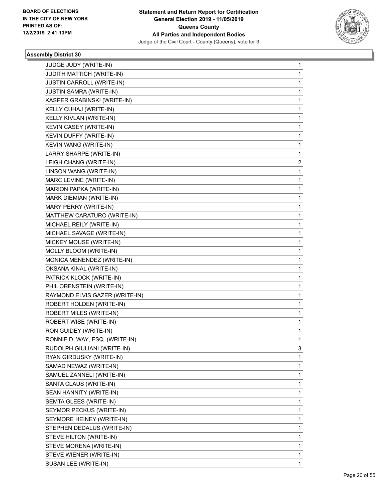

| JUDGE JUDY (WRITE-IN)<br>JUDITH MATTICH (WRITE-IN)<br>JUSTIN CARROLL (WRITE-IN)<br>JUSTIN SAMRA (WRITE-IN)<br>KASPER GRABINSKI (WRITE-IN)<br>KELLY CUHAJ (WRITE-IN)<br>KELLY KIVLAN (WRITE-IN)<br>KEVIN CASEY (WRITE-IN)<br>KEVIN DUFFY (WRITE-IN)<br>KEVIN WANG (WRITE-IN)<br>LARRY SHARPE (WRITE-IN)<br>LEIGH CHANG (WRITE-IN)<br>LINSON WANG (WRITE-IN)<br>MARC LEVINE (WRITE-IN)<br>MARION PAPKA (WRITE-IN)<br>MARK DIEMIAN (WRITE-IN)<br>MARY PERRY (WRITE-IN)<br>MATTHEW CARATURO (WRITE-IN)<br>MICHAEL REILY (WRITE-IN)<br>MICHAEL SAVAGE (WRITE-IN)<br>MICKEY MOUSE (WRITE-IN)<br>MOLLY BLOOM (WRITE-IN)<br>MONICA MENENDEZ (WRITE-IN)<br>OKSANA KINAL (WRITE-IN)<br>PATRICK KLOCK (WRITE-IN)<br>PHIL ORENSTEIN (WRITE-IN)<br>RAYMOND ELVIS GAZER (WRITE-IN)<br>ROBERT HOLDEN (WRITE-IN)<br>ROBERT MILES (WRITE-IN)<br>ROBERT WISE (WRITE-IN)<br>RON GUIDEY (WRITE-IN)<br>RONNIE D. WAY, ESQ. (WRITE-IN)<br>RUDOLPH GIULIANI (WRITE-IN)<br>RYAN GIRDUSKY (WRITE-IN)<br>SAMAD NEWAZ (WRITE-IN)<br>SAMUEL ZANNELI (WRITE-IN)<br>SANTA CLAUS (WRITE-IN)<br>SEAN HANNITY (WRITE-IN)<br>SEMTA GLEES (WRITE-IN)<br>SEYMOR PECKUS (WRITE-IN)<br>SEYMORE HEINEY (WRITE-IN)<br>STEPHEN DEDALUS (WRITE-IN)<br>STEVE HILTON (WRITE-IN)<br>STEVE MORENA (WRITE-IN)<br>STEVE WIENER (WRITE-IN) |                      |              |
|-------------------------------------------------------------------------------------------------------------------------------------------------------------------------------------------------------------------------------------------------------------------------------------------------------------------------------------------------------------------------------------------------------------------------------------------------------------------------------------------------------------------------------------------------------------------------------------------------------------------------------------------------------------------------------------------------------------------------------------------------------------------------------------------------------------------------------------------------------------------------------------------------------------------------------------------------------------------------------------------------------------------------------------------------------------------------------------------------------------------------------------------------------------------------------------------------------------------------------------------------------------------------------------------|----------------------|--------------|
|                                                                                                                                                                                                                                                                                                                                                                                                                                                                                                                                                                                                                                                                                                                                                                                                                                                                                                                                                                                                                                                                                                                                                                                                                                                                                           |                      | 1            |
|                                                                                                                                                                                                                                                                                                                                                                                                                                                                                                                                                                                                                                                                                                                                                                                                                                                                                                                                                                                                                                                                                                                                                                                                                                                                                           |                      | 1            |
|                                                                                                                                                                                                                                                                                                                                                                                                                                                                                                                                                                                                                                                                                                                                                                                                                                                                                                                                                                                                                                                                                                                                                                                                                                                                                           |                      | $\mathbf{1}$ |
|                                                                                                                                                                                                                                                                                                                                                                                                                                                                                                                                                                                                                                                                                                                                                                                                                                                                                                                                                                                                                                                                                                                                                                                                                                                                                           |                      | 1            |
|                                                                                                                                                                                                                                                                                                                                                                                                                                                                                                                                                                                                                                                                                                                                                                                                                                                                                                                                                                                                                                                                                                                                                                                                                                                                                           |                      | 1            |
|                                                                                                                                                                                                                                                                                                                                                                                                                                                                                                                                                                                                                                                                                                                                                                                                                                                                                                                                                                                                                                                                                                                                                                                                                                                                                           |                      | 1            |
|                                                                                                                                                                                                                                                                                                                                                                                                                                                                                                                                                                                                                                                                                                                                                                                                                                                                                                                                                                                                                                                                                                                                                                                                                                                                                           |                      | 1            |
|                                                                                                                                                                                                                                                                                                                                                                                                                                                                                                                                                                                                                                                                                                                                                                                                                                                                                                                                                                                                                                                                                                                                                                                                                                                                                           |                      | 1            |
|                                                                                                                                                                                                                                                                                                                                                                                                                                                                                                                                                                                                                                                                                                                                                                                                                                                                                                                                                                                                                                                                                                                                                                                                                                                                                           |                      | $\mathbf 1$  |
|                                                                                                                                                                                                                                                                                                                                                                                                                                                                                                                                                                                                                                                                                                                                                                                                                                                                                                                                                                                                                                                                                                                                                                                                                                                                                           |                      | 1            |
|                                                                                                                                                                                                                                                                                                                                                                                                                                                                                                                                                                                                                                                                                                                                                                                                                                                                                                                                                                                                                                                                                                                                                                                                                                                                                           |                      | 1            |
|                                                                                                                                                                                                                                                                                                                                                                                                                                                                                                                                                                                                                                                                                                                                                                                                                                                                                                                                                                                                                                                                                                                                                                                                                                                                                           |                      | 2            |
|                                                                                                                                                                                                                                                                                                                                                                                                                                                                                                                                                                                                                                                                                                                                                                                                                                                                                                                                                                                                                                                                                                                                                                                                                                                                                           |                      | 1            |
|                                                                                                                                                                                                                                                                                                                                                                                                                                                                                                                                                                                                                                                                                                                                                                                                                                                                                                                                                                                                                                                                                                                                                                                                                                                                                           |                      | 1            |
|                                                                                                                                                                                                                                                                                                                                                                                                                                                                                                                                                                                                                                                                                                                                                                                                                                                                                                                                                                                                                                                                                                                                                                                                                                                                                           |                      | $\mathbf 1$  |
|                                                                                                                                                                                                                                                                                                                                                                                                                                                                                                                                                                                                                                                                                                                                                                                                                                                                                                                                                                                                                                                                                                                                                                                                                                                                                           |                      | 1            |
|                                                                                                                                                                                                                                                                                                                                                                                                                                                                                                                                                                                                                                                                                                                                                                                                                                                                                                                                                                                                                                                                                                                                                                                                                                                                                           |                      | 1            |
|                                                                                                                                                                                                                                                                                                                                                                                                                                                                                                                                                                                                                                                                                                                                                                                                                                                                                                                                                                                                                                                                                                                                                                                                                                                                                           |                      | 1            |
|                                                                                                                                                                                                                                                                                                                                                                                                                                                                                                                                                                                                                                                                                                                                                                                                                                                                                                                                                                                                                                                                                                                                                                                                                                                                                           |                      | 1            |
|                                                                                                                                                                                                                                                                                                                                                                                                                                                                                                                                                                                                                                                                                                                                                                                                                                                                                                                                                                                                                                                                                                                                                                                                                                                                                           |                      | 1            |
|                                                                                                                                                                                                                                                                                                                                                                                                                                                                                                                                                                                                                                                                                                                                                                                                                                                                                                                                                                                                                                                                                                                                                                                                                                                                                           |                      | $\mathbf 1$  |
|                                                                                                                                                                                                                                                                                                                                                                                                                                                                                                                                                                                                                                                                                                                                                                                                                                                                                                                                                                                                                                                                                                                                                                                                                                                                                           |                      | 1            |
|                                                                                                                                                                                                                                                                                                                                                                                                                                                                                                                                                                                                                                                                                                                                                                                                                                                                                                                                                                                                                                                                                                                                                                                                                                                                                           |                      | 1            |
|                                                                                                                                                                                                                                                                                                                                                                                                                                                                                                                                                                                                                                                                                                                                                                                                                                                                                                                                                                                                                                                                                                                                                                                                                                                                                           |                      | 1            |
|                                                                                                                                                                                                                                                                                                                                                                                                                                                                                                                                                                                                                                                                                                                                                                                                                                                                                                                                                                                                                                                                                                                                                                                                                                                                                           |                      | 1            |
|                                                                                                                                                                                                                                                                                                                                                                                                                                                                                                                                                                                                                                                                                                                                                                                                                                                                                                                                                                                                                                                                                                                                                                                                                                                                                           |                      | 1            |
|                                                                                                                                                                                                                                                                                                                                                                                                                                                                                                                                                                                                                                                                                                                                                                                                                                                                                                                                                                                                                                                                                                                                                                                                                                                                                           |                      | $\mathbf 1$  |
|                                                                                                                                                                                                                                                                                                                                                                                                                                                                                                                                                                                                                                                                                                                                                                                                                                                                                                                                                                                                                                                                                                                                                                                                                                                                                           |                      | 1            |
|                                                                                                                                                                                                                                                                                                                                                                                                                                                                                                                                                                                                                                                                                                                                                                                                                                                                                                                                                                                                                                                                                                                                                                                                                                                                                           |                      | 1            |
|                                                                                                                                                                                                                                                                                                                                                                                                                                                                                                                                                                                                                                                                                                                                                                                                                                                                                                                                                                                                                                                                                                                                                                                                                                                                                           |                      | $\mathbf 1$  |
|                                                                                                                                                                                                                                                                                                                                                                                                                                                                                                                                                                                                                                                                                                                                                                                                                                                                                                                                                                                                                                                                                                                                                                                                                                                                                           |                      | 1            |
|                                                                                                                                                                                                                                                                                                                                                                                                                                                                                                                                                                                                                                                                                                                                                                                                                                                                                                                                                                                                                                                                                                                                                                                                                                                                                           |                      | 1            |
|                                                                                                                                                                                                                                                                                                                                                                                                                                                                                                                                                                                                                                                                                                                                                                                                                                                                                                                                                                                                                                                                                                                                                                                                                                                                                           |                      | 3            |
|                                                                                                                                                                                                                                                                                                                                                                                                                                                                                                                                                                                                                                                                                                                                                                                                                                                                                                                                                                                                                                                                                                                                                                                                                                                                                           |                      | 1            |
|                                                                                                                                                                                                                                                                                                                                                                                                                                                                                                                                                                                                                                                                                                                                                                                                                                                                                                                                                                                                                                                                                                                                                                                                                                                                                           |                      | 1            |
|                                                                                                                                                                                                                                                                                                                                                                                                                                                                                                                                                                                                                                                                                                                                                                                                                                                                                                                                                                                                                                                                                                                                                                                                                                                                                           |                      | $\mathbf 1$  |
|                                                                                                                                                                                                                                                                                                                                                                                                                                                                                                                                                                                                                                                                                                                                                                                                                                                                                                                                                                                                                                                                                                                                                                                                                                                                                           |                      | 1            |
|                                                                                                                                                                                                                                                                                                                                                                                                                                                                                                                                                                                                                                                                                                                                                                                                                                                                                                                                                                                                                                                                                                                                                                                                                                                                                           |                      | 1            |
|                                                                                                                                                                                                                                                                                                                                                                                                                                                                                                                                                                                                                                                                                                                                                                                                                                                                                                                                                                                                                                                                                                                                                                                                                                                                                           |                      | 1            |
|                                                                                                                                                                                                                                                                                                                                                                                                                                                                                                                                                                                                                                                                                                                                                                                                                                                                                                                                                                                                                                                                                                                                                                                                                                                                                           |                      | 1            |
|                                                                                                                                                                                                                                                                                                                                                                                                                                                                                                                                                                                                                                                                                                                                                                                                                                                                                                                                                                                                                                                                                                                                                                                                                                                                                           |                      | 1            |
|                                                                                                                                                                                                                                                                                                                                                                                                                                                                                                                                                                                                                                                                                                                                                                                                                                                                                                                                                                                                                                                                                                                                                                                                                                                                                           |                      | $\mathbf 1$  |
|                                                                                                                                                                                                                                                                                                                                                                                                                                                                                                                                                                                                                                                                                                                                                                                                                                                                                                                                                                                                                                                                                                                                                                                                                                                                                           |                      | 1            |
|                                                                                                                                                                                                                                                                                                                                                                                                                                                                                                                                                                                                                                                                                                                                                                                                                                                                                                                                                                                                                                                                                                                                                                                                                                                                                           |                      | 1            |
|                                                                                                                                                                                                                                                                                                                                                                                                                                                                                                                                                                                                                                                                                                                                                                                                                                                                                                                                                                                                                                                                                                                                                                                                                                                                                           |                      | 1            |
|                                                                                                                                                                                                                                                                                                                                                                                                                                                                                                                                                                                                                                                                                                                                                                                                                                                                                                                                                                                                                                                                                                                                                                                                                                                                                           | SUSAN LEE (WRITE-IN) | 1            |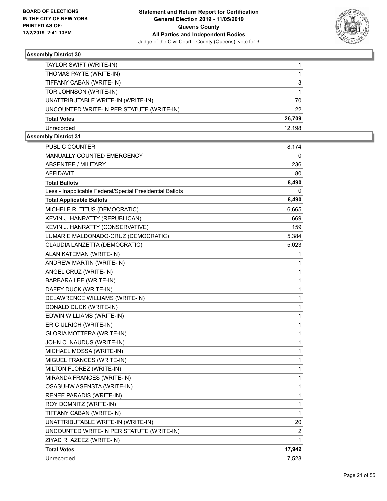

| TAYLOR SWIFT (WRITE-IN)                   |        |
|-------------------------------------------|--------|
| THOMAS PAYTE (WRITE-IN)                   |        |
| TIFFANY CABAN (WRITE-IN)                  | 3      |
| TOR JOHNSON (WRITE-IN)                    |        |
| UNATTRIBUTABLE WRITE-IN (WRITE-IN)        | 70     |
| UNCOUNTED WRITE-IN PER STATUTE (WRITE-IN) | 22     |
| <b>Total Votes</b>                        | 26,709 |
| Unrecorded                                | 12.198 |
|                                           |        |

| PUBLIC COUNTER                                           | 8,174        |
|----------------------------------------------------------|--------------|
| <b>MANUALLY COUNTED EMERGENCY</b>                        | 0            |
| ABSENTEE / MILITARY                                      | 236          |
| AFFIDAVIT                                                | 80           |
| <b>Total Ballots</b>                                     | 8,490        |
| Less - Inapplicable Federal/Special Presidential Ballots | 0            |
| <b>Total Applicable Ballots</b>                          | 8,490        |
| MICHELE R. TITUS (DEMOCRATIC)                            | 6,665        |
| KEVIN J. HANRATTY (REPUBLICAN)                           | 669          |
| KEVIN J. HANRATTY (CONSERVATIVE)                         | 159          |
| LUMARIE MALDONADO-CRUZ (DEMOCRATIC)                      | 5,384        |
| CLAUDIA LANZETTA (DEMOCRATIC)                            | 5,023        |
| ALAN KATEMAN (WRITE-IN)                                  | 1            |
| ANDREW MARTIN (WRITE-IN)                                 | 1            |
| ANGEL CRUZ (WRITE-IN)                                    | 1            |
| BARBARA LEE (WRITE-IN)                                   | 1            |
| DAFFY DUCK (WRITE-IN)                                    | 1            |
| DELAWRENCE WILLIAMS (WRITE-IN)                           | 1            |
| DONALD DUCK (WRITE-IN)                                   | 1            |
| EDWIN WILLIAMS (WRITE-IN)                                | 1            |
| ERIC ULRICH (WRITE-IN)                                   | 1            |
| GLORIA MOTTERA (WRITE-IN)                                | 1            |
| JOHN C. NAUDUS (WRITE-IN)                                | 1            |
| MICHAEL MOSSA (WRITE-IN)                                 | $\mathbf{1}$ |
| MIGUEL FRANCES (WRITE-IN)                                | $\mathbf{1}$ |
| MILTON FLOREZ (WRITE-IN)                                 | 1            |
| MIRANDA FRANCES (WRITE-IN)                               | 1            |
| OSASUHW ASENSTA (WRITE-IN)                               | 1            |
| RENEE PARADIS (WRITE-IN)                                 | $\mathbf{1}$ |
| ROY DOMNITZ (WRITE-IN)                                   | 1            |
| TIFFANY CABAN (WRITE-IN)                                 | 1            |
| UNATTRIBUTABLE WRITE-IN (WRITE-IN)                       | 20           |
| UNCOUNTED WRITE-IN PER STATUTE (WRITE-IN)                | 2            |
| ZIYAD R. AZEEZ (WRITE-IN)                                | $\mathbf 1$  |
| <b>Total Votes</b>                                       | 17,942       |
| Unrecorded                                               | 7,528        |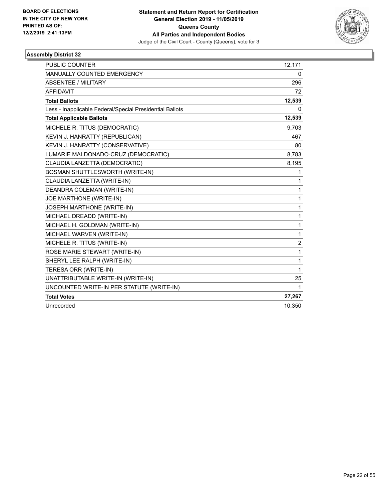

| <b>PUBLIC COUNTER</b>                                    | 12,171         |
|----------------------------------------------------------|----------------|
| <b>MANUALLY COUNTED EMERGENCY</b>                        | 0              |
| <b>ABSENTEE / MILITARY</b>                               | 296            |
| <b>AFFIDAVIT</b>                                         | 72             |
| <b>Total Ballots</b>                                     | 12,539         |
| Less - Inapplicable Federal/Special Presidential Ballots | 0              |
| <b>Total Applicable Ballots</b>                          | 12,539         |
| MICHELE R. TITUS (DEMOCRATIC)                            | 9,703          |
| KEVIN J. HANRATTY (REPUBLICAN)                           | 467            |
| KEVIN J. HANRATTY (CONSERVATIVE)                         | 80             |
| LUMARIE MALDONADO-CRUZ (DEMOCRATIC)                      | 8,783          |
| CLAUDIA LANZETTA (DEMOCRATIC)                            | 8,195          |
| BOSMAN SHUTTLESWORTH (WRITE-IN)                          | 1              |
| CLAUDIA LANZETTA (WRITE-IN)                              | 1              |
| DEANDRA COLEMAN (WRITE-IN)                               | 1              |
| JOE MARTHONE (WRITE-IN)                                  | 1              |
| JOSEPH MARTHONE (WRITE-IN)                               | 1              |
| MICHAEL DREADD (WRITE-IN)                                | 1              |
| MICHAEL H. GOLDMAN (WRITE-IN)                            | 1              |
| MICHAEL WARVEN (WRITE-IN)                                | 1              |
| MICHELE R. TITUS (WRITE-IN)                              | $\overline{2}$ |
| ROSE MARIE STEWART (WRITE-IN)                            | 1              |
| SHERYL LEE RALPH (WRITE-IN)                              | 1              |
| TERESA ORR (WRITE-IN)                                    | 1              |
| UNATTRIBUTABLE WRITE-IN (WRITE-IN)                       | 25             |
| UNCOUNTED WRITE-IN PER STATUTE (WRITE-IN)                | 1              |
| <b>Total Votes</b>                                       | 27,267         |
| Unrecorded                                               | 10,350         |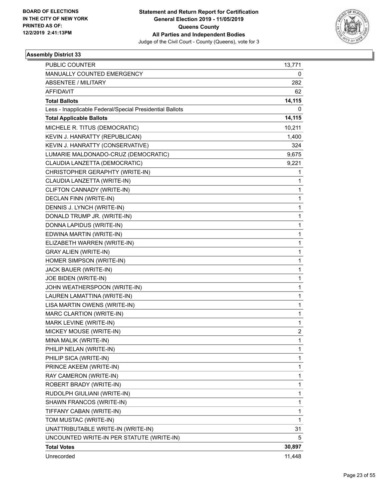

| <b>PUBLIC COUNTER</b>                                    | 13,771 |
|----------------------------------------------------------|--------|
| MANUALLY COUNTED EMERGENCY                               | 0      |
| <b>ABSENTEE / MILITARY</b>                               | 282    |
| <b>AFFIDAVIT</b>                                         | 62     |
| <b>Total Ballots</b>                                     | 14,115 |
| Less - Inapplicable Federal/Special Presidential Ballots | 0      |
| <b>Total Applicable Ballots</b>                          | 14,115 |
| MICHELE R. TITUS (DEMOCRATIC)                            | 10,211 |
| KEVIN J. HANRATTY (REPUBLICAN)                           | 1,400  |
| KEVIN J. HANRATTY (CONSERVATIVE)                         | 324    |
| LUMARIE MALDONADO-CRUZ (DEMOCRATIC)                      | 9,675  |
| CLAUDIA LANZETTA (DEMOCRATIC)                            | 9,221  |
| CHRISTOPHER GERAPHTY (WRITE-IN)                          | 1      |
| CLAUDIA LANZETTA (WRITE-IN)                              | 1      |
| CLIFTON CANNADY (WRITE-IN)                               | 1      |
| DECLAN FINN (WRITE-IN)                                   | 1      |
| DENNIS J. LYNCH (WRITE-IN)                               | 1      |
| DONALD TRUMP JR. (WRITE-IN)                              | 1      |
| DONNA LAPIDUS (WRITE-IN)                                 | 1      |
| EDWINA MARTIN (WRITE-IN)                                 | 1      |
| ELIZABETH WARREN (WRITE-IN)                              | 1      |
| <b>GRAY ALIEN (WRITE-IN)</b>                             | 1      |
| HOMER SIMPSON (WRITE-IN)                                 | 1      |
| JACK BAUER (WRITE-IN)                                    | 1      |
| JOE BIDEN (WRITE-IN)                                     | 1      |
| JOHN WEATHERSPOON (WRITE-IN)                             | 1      |
| LAUREN LAMATTINA (WRITE-IN)                              | 1      |
| LISA MARTIN OWENS (WRITE-IN)                             | 1      |
| MARC CLARTION (WRITE-IN)                                 | 1      |
| MARK LEVINE (WRITE-IN)                                   | 1      |
| MICKEY MOUSE (WRITE-IN)                                  | 2      |
| MINA MALIK (WRITE-IN)                                    | 1      |
| PHILIP NELAN (WRITE-IN)                                  | 1      |
| PHILIP SICA (WRITE-IN)                                   | 1      |
| PRINCE AKEEM (WRITE-IN)                                  | 1      |
| RAY CAMERON (WRITE-IN)                                   | 1      |
| ROBERT BRADY (WRITE-IN)                                  | 1      |
| RUDOLPH GIULIANI (WRITE-IN)                              | 1      |
| SHAWN FRANCOS (WRITE-IN)                                 | 1      |
| TIFFANY CABAN (WRITE-IN)                                 | 1      |
| TOM MUSTAC (WRITE-IN)                                    | 1      |
| UNATTRIBUTABLE WRITE-IN (WRITE-IN)                       | 31     |
| UNCOUNTED WRITE-IN PER STATUTE (WRITE-IN)                | 5      |
| <b>Total Votes</b>                                       | 30,897 |
| Unrecorded                                               | 11,448 |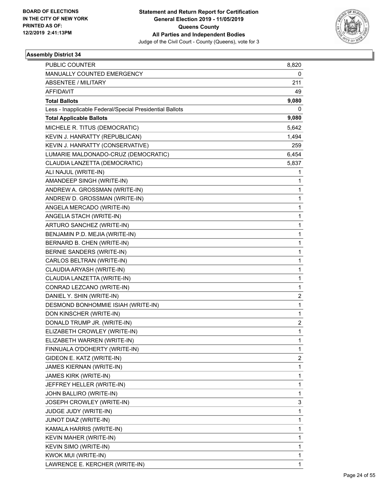

| <b>PUBLIC COUNTER</b>                                    | 8,820          |
|----------------------------------------------------------|----------------|
| MANUALLY COUNTED EMERGENCY                               | 0              |
| <b>ABSENTEE / MILITARY</b>                               | 211            |
| AFFIDAVIT                                                | 49             |
| <b>Total Ballots</b>                                     | 9,080          |
| Less - Inapplicable Federal/Special Presidential Ballots | 0              |
| <b>Total Applicable Ballots</b>                          | 9,080          |
| MICHELE R. TITUS (DEMOCRATIC)                            | 5,642          |
| KEVIN J. HANRATTY (REPUBLICAN)                           | 1,494          |
| KEVIN J. HANRATTY (CONSERVATIVE)                         | 259            |
| LUMARIE MALDONADO-CRUZ (DEMOCRATIC)                      | 6,454          |
| CLAUDIA LANZETTA (DEMOCRATIC)                            | 5,837          |
| ALI NAJUL (WRITE-IN)                                     | 1              |
| AMANDEEP SINGH (WRITE-IN)                                | 1              |
| ANDREW A. GROSSMAN (WRITE-IN)                            | 1              |
| ANDREW D. GROSSMAN (WRITE-IN)                            | 1              |
| ANGELA MERCADO (WRITE-IN)                                | 1              |
| ANGELIA STACH (WRITE-IN)                                 | 1              |
| ARTURO SANCHEZ (WRITE-IN)                                | 1              |
| BENJAMIN P.D. MEJIA (WRITE-IN)                           | 1              |
| BERNARD B. CHEN (WRITE-IN)                               | 1              |
| BERNIE SANDERS (WRITE-IN)                                | 1              |
| CARLOS BELTRAN (WRITE-IN)                                | 1              |
| CLAUDIA ARYASH (WRITE-IN)                                | 1              |
| CLAUDIA LANZETTA (WRITE-IN)                              | 1              |
| CONRAD LEZCANO (WRITE-IN)                                | 1              |
| DANIEL Y. SHIN (WRITE-IN)                                | 2              |
| DESMOND BONHOMMIE ISIAH (WRITE-IN)                       | 1              |
| DON KINSCHER (WRITE-IN)                                  | 1              |
| DONALD TRUMP JR. (WRITE-IN)                              | 2              |
| ELIZABETH CROWLEY (WRITE-IN)                             | 1              |
| ELIZABETH WARREN (WRITE-IN)                              | 1              |
| FINNUALA O'DOHERTY (WRITE-IN)                            | 1              |
| GIDEON E. KATZ (WRITE-IN)                                | $\overline{2}$ |
| JAMES KIERNAN (WRITE-IN)                                 | 1              |
| JAMES KIRK (WRITE-IN)                                    | 1              |
| JEFFREY HELLER (WRITE-IN)                                | 1              |
| JOHN BALLIRO (WRITE-IN)                                  | 1              |
| JOSEPH CROWLEY (WRITE-IN)                                | 3              |
| JUDGE JUDY (WRITE-IN)                                    | 1              |
| JUNOT DIAZ (WRITE-IN)                                    | 1              |
| KAMALA HARRIS (WRITE-IN)                                 | 1              |
| KEVIN MAHER (WRITE-IN)                                   | 1              |
| KEVIN SIMO (WRITE-IN)                                    | 1              |
| KWOK MUI (WRITE-IN)                                      | 1              |
| LAWRENCE E. KERCHER (WRITE-IN)                           | 1              |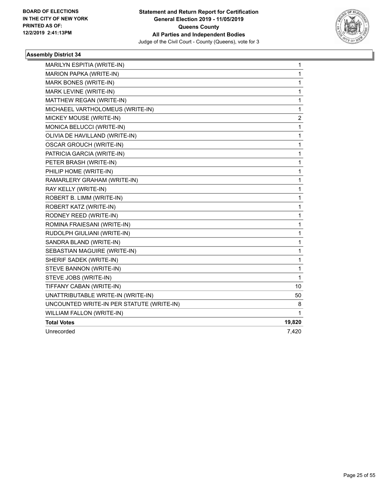

| MARILYN ESPITIA (WRITE-IN)                | 1      |
|-------------------------------------------|--------|
| MARION PAPKA (WRITE-IN)                   | 1      |
| MARK BONES (WRITE-IN)                     | 1      |
| MARK LEVINE (WRITE-IN)                    | 1      |
| MATTHEW REGAN (WRITE-IN)                  | 1      |
| MICHAEEL VARTHOLOMEUS (WRITE-IN)          | 1      |
| MICKEY MOUSE (WRITE-IN)                   | 2      |
| MONICA BELUCCI (WRITE-IN)                 | 1      |
| OLIVIA DE HAVILLAND (WRITE-IN)            | 1      |
| <b>OSCAR GROUCH (WRITE-IN)</b>            | 1      |
| PATRICIA GARCIA (WRITE-IN)                | 1      |
| PETER BRASH (WRITE-IN)                    | 1      |
| PHILIP HOME (WRITE-IN)                    | 1      |
| RAMARLERY GRAHAM (WRITE-IN)               | 1      |
| RAY KELLY (WRITE-IN)                      | 1      |
| ROBERT B. LIMM (WRITE-IN)                 | 1      |
| ROBERT KATZ (WRITE-IN)                    | 1      |
| RODNEY REED (WRITE-IN)                    | 1      |
| ROMINA FRAIESANI (WRITE-IN)               | 1      |
| RUDOLPH GIULIANI (WRITE-IN)               | 1      |
| SANDRA BLAND (WRITE-IN)                   | 1      |
| SEBASTIAN MAGUIRE (WRITE-IN)              | 1      |
| SHERIF SADEK (WRITE-IN)                   | 1      |
| STEVE BANNON (WRITE-IN)                   | 1      |
| STEVE JOBS (WRITE-IN)                     | 1      |
| TIFFANY CABAN (WRITE-IN)                  | 10     |
| UNATTRIBUTABLE WRITE-IN (WRITE-IN)        | 50     |
| UNCOUNTED WRITE-IN PER STATUTE (WRITE-IN) | 8      |
| WILLIAM FALLON (WRITE-IN)                 | 1      |
| <b>Total Votes</b>                        | 19,820 |
| Unrecorded                                | 7,420  |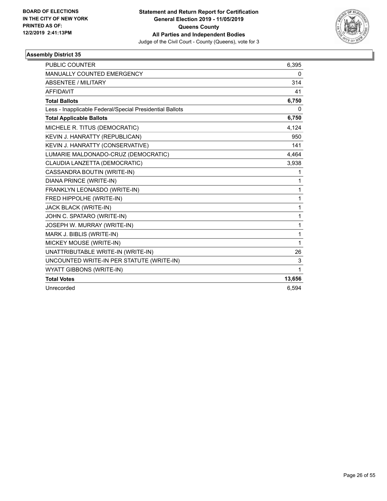

| <b>PUBLIC COUNTER</b>                                    | 6,395  |
|----------------------------------------------------------|--------|
| MANUALLY COUNTED EMERGENCY                               | 0      |
| <b>ABSENTEE / MILITARY</b>                               | 314    |
| <b>AFFIDAVIT</b>                                         | 41     |
| <b>Total Ballots</b>                                     | 6,750  |
| Less - Inapplicable Federal/Special Presidential Ballots | 0      |
| <b>Total Applicable Ballots</b>                          | 6,750  |
| MICHELE R. TITUS (DEMOCRATIC)                            | 4,124  |
| KEVIN J. HANRATTY (REPUBLICAN)                           | 950    |
| KEVIN J. HANRATTY (CONSERVATIVE)                         | 141    |
| LUMARIE MALDONADO-CRUZ (DEMOCRATIC)                      | 4,464  |
| CLAUDIA LANZETTA (DEMOCRATIC)                            | 3,938  |
| CASSANDRA BOUTIN (WRITE-IN)                              | 1      |
| DIANA PRINCE (WRITE-IN)                                  | 1      |
| FRANKLYN LEONASDO (WRITE-IN)                             | 1      |
| FRED HIPPOLHE (WRITE-IN)                                 | 1      |
| JACK BLACK (WRITE-IN)                                    | 1      |
| JOHN C. SPATARO (WRITE-IN)                               | 1      |
| JOSEPH W. MURRAY (WRITE-IN)                              | 1      |
| MARK J. BIBLIS (WRITE-IN)                                | 1      |
| MICKEY MOUSE (WRITE-IN)                                  | 1      |
| UNATTRIBUTABLE WRITE-IN (WRITE-IN)                       | 26     |
| UNCOUNTED WRITE-IN PER STATUTE (WRITE-IN)                | 3      |
| WYATT GIBBONS (WRITE-IN)                                 | 1      |
| <b>Total Votes</b>                                       | 13,656 |
| Unrecorded                                               | 6,594  |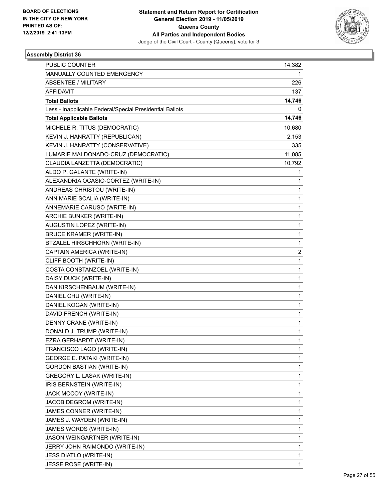

| <b>PUBLIC COUNTER</b>                                    | 14,382 |
|----------------------------------------------------------|--------|
| MANUALLY COUNTED EMERGENCY                               |        |
| <b>ABSENTEE / MILITARY</b>                               | 226    |
| AFFIDAVIT                                                | 137    |
| <b>Total Ballots</b>                                     | 14,746 |
| Less - Inapplicable Federal/Special Presidential Ballots | 0      |
| <b>Total Applicable Ballots</b>                          | 14,746 |
| MICHELE R. TITUS (DEMOCRATIC)                            | 10,680 |
| KEVIN J. HANRATTY (REPUBLICAN)                           | 2,153  |
| KEVIN J. HANRATTY (CONSERVATIVE)                         | 335    |
| LUMARIE MALDONADO-CRUZ (DEMOCRATIC)                      | 11,085 |
| CLAUDIA LANZETTA (DEMOCRATIC)                            | 10,792 |
| ALDO P. GALANTE (WRITE-IN)                               | 1      |
| ALEXANDRIA OCASIO-CORTEZ (WRITE-IN)                      | 1      |
| ANDREAS CHRISTOU (WRITE-IN)                              | 1      |
| ANN MARIE SCALIA (WRITE-IN)                              | 1      |
| ANNEMARIE CARUSO (WRITE-IN)                              | 1      |
| ARCHIE BUNKER (WRITE-IN)                                 | 1      |
| AUGUSTIN LOPEZ (WRITE-IN)                                | 1      |
| <b>BRUCE KRAMER (WRITE-IN)</b>                           | 1      |
| BTZALEL HIRSCHHORN (WRITE-IN)                            | 1      |
| CAPTAIN AMERICA (WRITE-IN)                               | 2      |
| CLIFF BOOTH (WRITE-IN)                                   | 1      |
| COSTA CONSTANZOEL (WRITE-IN)                             | 1      |
| DAISY DUCK (WRITE-IN)                                    | 1      |
| DAN KIRSCHENBAUM (WRITE-IN)                              | 1      |
| DANIEL CHU (WRITE-IN)                                    | 1      |
| DANIEL KOGAN (WRITE-IN)                                  | 1      |
| DAVID FRENCH (WRITE-IN)                                  | 1      |
| DENNY CRANE (WRITE-IN)                                   | 1      |
| DONALD J. TRUMP (WRITE-IN)                               | 1      |
| EZRA GERHARDT (WRITE-IN)                                 | 1      |
| FRANCISCO LAGO (WRITE-IN)                                | 1      |
| <b>GEORGE E. PATAKI (WRITE-IN)</b>                       | 1      |
| <b>GORDON BASTIAN (WRITE-IN)</b>                         | 1      |
| GREGORY L. LASAK (WRITE-IN)                              | 1      |
| IRIS BERNSTEIN (WRITE-IN)                                | 1      |
| JACK MCCOY (WRITE-IN)                                    | 1      |
| JACOB DEGROM (WRITE-IN)                                  | 1      |
| JAMES CONNER (WRITE-IN)                                  | 1      |
| JAMES J. WAYDEN (WRITE-IN)                               | 1      |
| JAMES WORDS (WRITE-IN)                                   | 1      |
| JASON WEINGARTNER (WRITE-IN)                             | 1      |
| JERRY JOHN RAIMONDO (WRITE-IN)                           | 1      |
| <b>JESS DIATLO (WRITE-IN)</b>                            | 1      |
| JESSE ROSE (WRITE-IN)                                    | 1      |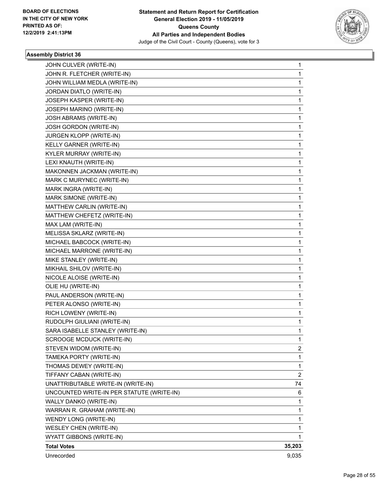

| JOHN CULVER (WRITE-IN)                    | 1      |
|-------------------------------------------|--------|
| JOHN R. FLETCHER (WRITE-IN)               | 1      |
| JOHN WILLIAM MEDLA (WRITE-IN)             | 1      |
| JORDAN DIATLO (WRITE-IN)                  | 1      |
| JOSEPH KASPER (WRITE-IN)                  | 1      |
| JOSEPH MARINO (WRITE-IN)                  | 1      |
| JOSH ABRAMS (WRITE-IN)                    | 1      |
| JOSH GORDON (WRITE-IN)                    | 1      |
| JURGEN KLOPP (WRITE-IN)                   | 1      |
| KELLY GARNER (WRITE-IN)                   | 1      |
| KYLER MURRAY (WRITE-IN)                   | 1      |
| LEXI KNAUTH (WRITE-IN)                    | 1      |
| MAKONNEN JACKMAN (WRITE-IN)               | 1      |
| MARK C MURYNEC (WRITE-IN)                 | 1      |
| MARK INGRA (WRITE-IN)                     | 1      |
| MARK SIMONE (WRITE-IN)                    | 1      |
| MATTHEW CARLIN (WRITE-IN)                 | 1      |
| MATTHEW CHEFETZ (WRITE-IN)                | 1      |
| MAX LAM (WRITE-IN)                        | 1      |
| MELISSA SKLARZ (WRITE-IN)                 | 1      |
| MICHAEL BABCOCK (WRITE-IN)                | 1      |
| MICHAEL MARRONE (WRITE-IN)                | 1      |
| MIKE STANLEY (WRITE-IN)                   | 1      |
| MIKHAIL SHILOV (WRITE-IN)                 | 1      |
| NICOLE ALOISE (WRITE-IN)                  | 1      |
| OLIE HU (WRITE-IN)                        | 1      |
| PAUL ANDERSON (WRITE-IN)                  | 1      |
| PETER ALONSO (WRITE-IN)                   | 1      |
| RICH LOWENY (WRITE-IN)                    | 1      |
| RUDOLPH GIULIANI (WRITE-IN)               | 1      |
| SARA ISABELLE STANLEY (WRITE-IN)          | 1      |
| <b>SCROOGE MCDUCK (WRITE-IN)</b>          | 1      |
| STEVEN WIDOM (WRITE-IN)                   | 2      |
| TAMEKA PORTY (WRITE-IN)                   | 1      |
| THOMAS DEWEY (WRITE-IN)                   | 1      |
| TIFFANY CABAN (WRITE-IN)                  | 2      |
| UNATTRIBUTABLE WRITE-IN (WRITE-IN)        | 74     |
| UNCOUNTED WRITE-IN PER STATUTE (WRITE-IN) | 6      |
| WALLY DANKO (WRITE-IN)                    | 1      |
| WARRAN R. GRAHAM (WRITE-IN)               | 1      |
| WENDY LONG (WRITE-IN)                     | 1      |
| WESLEY CHEN (WRITE-IN)                    | 1      |
| WYATT GIBBONS (WRITE-IN)                  | 1      |
| <b>Total Votes</b>                        | 35,203 |
| Unrecorded                                | 9,035  |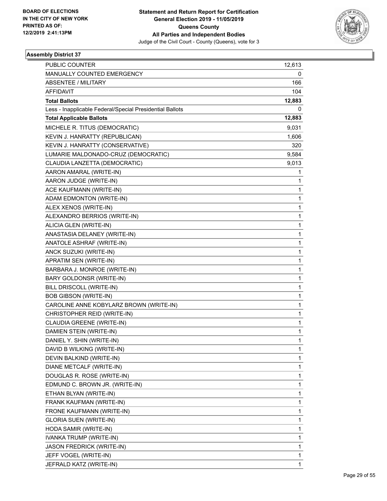

| <b>PUBLIC COUNTER</b>                                    | 12,613       |
|----------------------------------------------------------|--------------|
| MANUALLY COUNTED EMERGENCY                               | 0            |
| <b>ABSENTEE / MILITARY</b>                               | 166          |
| <b>AFFIDAVIT</b>                                         | 104          |
| <b>Total Ballots</b>                                     | 12,883       |
| Less - Inapplicable Federal/Special Presidential Ballots | 0            |
| <b>Total Applicable Ballots</b>                          | 12,883       |
| MICHELE R. TITUS (DEMOCRATIC)                            | 9,031        |
| KEVIN J. HANRATTY (REPUBLICAN)                           | 1,606        |
| KEVIN J. HANRATTY (CONSERVATIVE)                         | 320          |
| LUMARIE MALDONADO-CRUZ (DEMOCRATIC)                      | 9,584        |
| CLAUDIA LANZETTA (DEMOCRATIC)                            | 9,013        |
| AARON AMARAL (WRITE-IN)                                  | 1            |
| AARON JUDGE (WRITE-IN)                                   | 1            |
| ACE KAUFMANN (WRITE-IN)                                  | 1            |
| ADAM EDMONTON (WRITE-IN)                                 | 1            |
| ALEX XENOS (WRITE-IN)                                    | 1            |
| ALEXANDRO BERRIOS (WRITE-IN)                             | 1            |
| ALICIA GLEN (WRITE-IN)                                   | 1            |
| ANASTASIA DELANEY (WRITE-IN)                             | 1            |
| ANATOLE ASHRAF (WRITE-IN)                                | 1            |
| ANCK SUZUKI (WRITE-IN)                                   | 1            |
| APRATIM SEN (WRITE-IN)                                   | $\mathbf{1}$ |
| BARBARA J. MONROE (WRITE-IN)                             | 1            |
| BARY GOLDONSR (WRITE-IN)                                 | 1            |
| BILL DRISCOLL (WRITE-IN)                                 | 1            |
| <b>BOB GIBSON (WRITE-IN)</b>                             | 1            |
| CAROLINE ANNE KOBYLARZ BROWN (WRITE-IN)                  | 1            |
| CHRISTOPHER REID (WRITE-IN)                              | $\mathbf{1}$ |
| CLAUDIA GREENE (WRITE-IN)                                | 1            |
| DAMIEN STEIN (WRITE-IN)                                  | 1            |
| DANIEL Y. SHIN (WRITE-IN)                                | 1            |
| DAVID B WILKING (WRITE-IN)                               | 1            |
| DEVIN BALKIND (WRITE-IN)                                 | 1            |
| DIANE METCALF (WRITE-IN)                                 | 1            |
| DOUGLAS R. ROSE (WRITE-IN)                               | 1            |
| EDMUND C. BROWN JR. (WRITE-IN)                           | 1            |
| ETHAN BLYAN (WRITE-IN)                                   | 1            |
| FRANK KAUFMAN (WRITE-IN)                                 | 1            |
| FRONE KAUFMANN (WRITE-IN)                                | 1            |
| <b>GLORIA SUEN (WRITE-IN)</b>                            | 1            |
| HODA SAMIR (WRITE-IN)                                    | 1            |
| IVANKA TRUMP (WRITE-IN)                                  | 1            |
| <b>JASON FREDRICK (WRITE-IN)</b>                         | 1            |
| JEFF VOGEL (WRITE-IN)                                    | 1            |
| JEFRALD KATZ (WRITE-IN)                                  | 1            |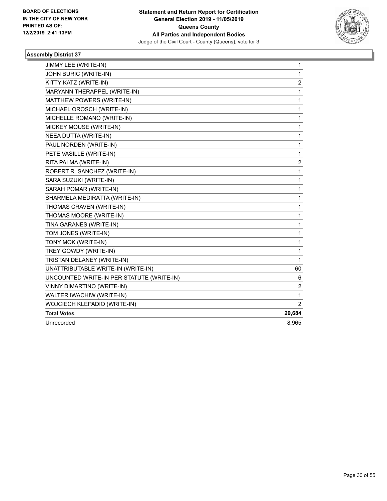

| JIMMY LEE (WRITE-IN)                      | 1                       |
|-------------------------------------------|-------------------------|
| JOHN BURIC (WRITE-IN)                     | $\mathbf{1}$            |
| KITTY KATZ (WRITE-IN)                     | $\overline{c}$          |
| MARYANN THERAPPEL (WRITE-IN)              | 1                       |
| MATTHEW POWERS (WRITE-IN)                 | 1                       |
| MICHAEL OROSCH (WRITE-IN)                 | 1                       |
| MICHELLE ROMANO (WRITE-IN)                | 1                       |
| MICKEY MOUSE (WRITE-IN)                   | 1                       |
| NEEA DUTTA (WRITE-IN)                     | 1                       |
| PAUL NORDEN (WRITE-IN)                    | $\mathbf{1}$            |
| PETE VASILLE (WRITE-IN)                   | 1                       |
| RITA PALMA (WRITE-IN)                     | $\overline{\mathbf{c}}$ |
| ROBERT R. SANCHEZ (WRITE-IN)              | 1                       |
| SARA SUZUKI (WRITE-IN)                    | 1                       |
| SARAH POMAR (WRITE-IN)                    | $\mathbf{1}$            |
| SHARMELA MEDIRATTA (WRITE-IN)             | 1                       |
| THOMAS CRAVEN (WRITE-IN)                  | 1                       |
| THOMAS MOORE (WRITE-IN)                   | $\mathbf{1}$            |
| TINA GARANES (WRITE-IN)                   | $\mathbf 1$             |
| TOM JONES (WRITE-IN)                      | 1                       |
| TONY MOK (WRITE-IN)                       | $\mathbf{1}$            |
| TREY GOWDY (WRITE-IN)                     | 1                       |
| TRISTAN DELANEY (WRITE-IN)                | $\mathbf{1}$            |
| UNATTRIBUTABLE WRITE-IN (WRITE-IN)        | 60                      |
| UNCOUNTED WRITE-IN PER STATUTE (WRITE-IN) | 6                       |
| VINNY DIMARTINO (WRITE-IN)                | 2                       |
| WALTER IWACHIW (WRITE-IN)                 | 1                       |
| WOJCIECH KLEPADIO (WRITE-IN)              | $\overline{2}$          |
| <b>Total Votes</b>                        | 29,684                  |
| Unrecorded                                | 8,965                   |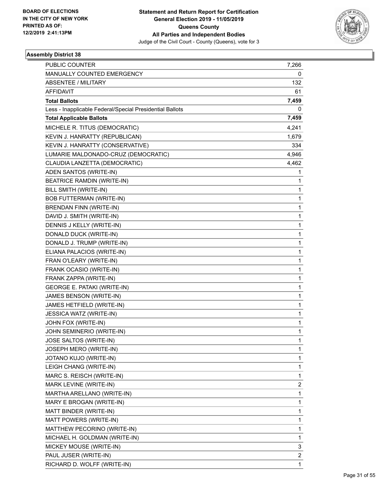

| <b>PUBLIC COUNTER</b>                                    | 7,266          |
|----------------------------------------------------------|----------------|
| MANUALLY COUNTED EMERGENCY                               | 0              |
| ABSENTEE / MILITARY                                      | 132            |
| AFFIDAVIT                                                | 61             |
| <b>Total Ballots</b>                                     | 7,459          |
| Less - Inapplicable Federal/Special Presidential Ballots | 0              |
| <b>Total Applicable Ballots</b>                          | 7,459          |
| MICHELE R. TITUS (DEMOCRATIC)                            | 4,241          |
| KEVIN J. HANRATTY (REPUBLICAN)                           | 1,679          |
| KEVIN J. HANRATTY (CONSERVATIVE)                         | 334            |
| LUMARIE MALDONADO-CRUZ (DEMOCRATIC)                      | 4,946          |
| CLAUDIA LANZETTA (DEMOCRATIC)                            | 4,462          |
| ADEN SANTOS (WRITE-IN)                                   | 1              |
| BEATRICE RAMDIN (WRITE-IN)                               | 1              |
| BILL SMITH (WRITE-IN)                                    | 1              |
| <b>BOB FUTTERMAN (WRITE-IN)</b>                          | 1              |
| <b>BRENDAN FINN (WRITE-IN)</b>                           | 1              |
| DAVID J. SMITH (WRITE-IN)                                | 1              |
| DENNIS J KELLY (WRITE-IN)                                | 1              |
| DONALD DUCK (WRITE-IN)                                   | 1              |
| DONALD J. TRUMP (WRITE-IN)                               | 1              |
| ELIANA PALACIOS (WRITE-IN)                               | 1              |
| FRAN O'LEARY (WRITE-IN)                                  | 1              |
| FRANK OCASIO (WRITE-IN)                                  | 1              |
| FRANK ZAPPA (WRITE-IN)                                   | 1              |
| <b>GEORGE E. PATAKI (WRITE-IN)</b>                       | 1              |
| JAMES BENSON (WRITE-IN)                                  | 1              |
| JAMES HETFIELD (WRITE-IN)                                | 1              |
| JESSICA WATZ (WRITE-IN)                                  | 1              |
| JOHN FOX (WRITE-IN)                                      | 1              |
| JOHN SEMINERIO (WRITE-IN)                                | 1              |
| JOSE SALTOS (WRITE-IN)                                   | 1              |
| JOSEPH MERO (WRITE-IN)                                   | 1              |
| JOTANO KUJO (WRITE-IN)                                   | 1              |
| LEIGH CHANG (WRITE-IN)                                   | 1              |
| MARC S. REISCH (WRITE-IN)                                | $\mathbf{1}$   |
| MARK LEVINE (WRITE-IN)                                   | $\overline{2}$ |
| MARTHA ARELLANO (WRITE-IN)                               | 1              |
| MARY E BROGAN (WRITE-IN)                                 | 1              |
| MATT BINDER (WRITE-IN)                                   | 1              |
| MATT POWERS (WRITE-IN)                                   | 1              |
| MATTHEW PECORINO (WRITE-IN)                              | 1              |
| MICHAEL H. GOLDMAN (WRITE-IN)                            | 1              |
| MICKEY MOUSE (WRITE-IN)                                  | 3              |
| PAUL JUSER (WRITE-IN)                                    | 2              |
| RICHARD D. WOLFF (WRITE-IN)                              | 1              |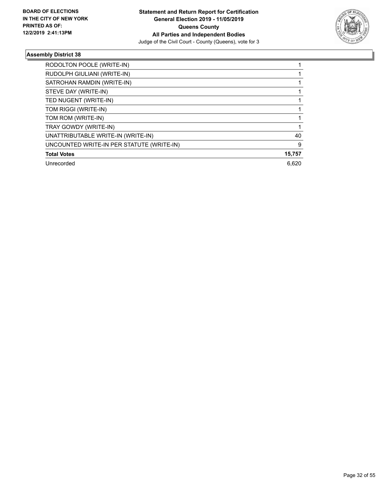

| RODOLTON POOLE (WRITE-IN)                 |        |
|-------------------------------------------|--------|
| RUDOLPH GIULIANI (WRITE-IN)               |        |
| SATROHAN RAMDIN (WRITE-IN)                |        |
| STEVE DAY (WRITE-IN)                      |        |
| TED NUGENT (WRITE-IN)                     |        |
| TOM RIGGI (WRITE-IN)                      |        |
| TOM ROM (WRITE-IN)                        |        |
| TRAY GOWDY (WRITE-IN)                     |        |
| UNATTRIBUTABLE WRITE-IN (WRITE-IN)        | 40     |
| UNCOUNTED WRITE-IN PER STATUTE (WRITE-IN) | 9      |
| <b>Total Votes</b>                        | 15,757 |
| Unrecorded                                | 6.620  |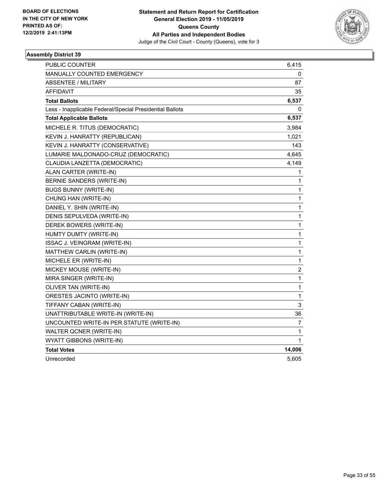

| <b>PUBLIC COUNTER</b>                                    | 6,415                   |
|----------------------------------------------------------|-------------------------|
| <b>MANUALLY COUNTED EMERGENCY</b>                        | 0                       |
| <b>ABSENTEE / MILITARY</b>                               | 87                      |
| AFFIDAVIT                                                | 35                      |
| <b>Total Ballots</b>                                     | 6,537                   |
| Less - Inapplicable Federal/Special Presidential Ballots | 0                       |
| <b>Total Applicable Ballots</b>                          | 6,537                   |
| MICHELE R. TITUS (DEMOCRATIC)                            | 3,984                   |
| KEVIN J. HANRATTY (REPUBLICAN)                           | 1,021                   |
| KEVIN J. HANRATTY (CONSERVATIVE)                         | 143                     |
| LUMARIE MALDONADO-CRUZ (DEMOCRATIC)                      | 4,645                   |
| CLAUDIA LANZETTA (DEMOCRATIC)                            | 4,149                   |
| ALAN CARTER (WRITE-IN)                                   | 1                       |
| BERNIE SANDERS (WRITE-IN)                                | $\mathbf{1}$            |
| <b>BUGS BUNNY (WRITE-IN)</b>                             | $\mathbf{1}$            |
| CHUNG HAN (WRITE-IN)                                     | $\mathbf 1$             |
| DANIEL Y. SHIN (WRITE-IN)                                | 1                       |
| DENIS SEPULVEDA (WRITE-IN)                               | $\mathbf{1}$            |
| DEREK BOWERS (WRITE-IN)                                  | $\mathbf{1}$            |
| HUMTY DUMTY (WRITE-IN)                                   | $\mathbf{1}$            |
| ISSAC J. VEINGRAM (WRITE-IN)                             | $\mathbf{1}$            |
| MATTHEW CARLIN (WRITE-IN)                                | 1                       |
| MICHELE ER (WRITE-IN)                                    | $\mathbf{1}$            |
| MICKEY MOUSE (WRITE-IN)                                  | $\overline{\mathbf{c}}$ |
| MIRA SINGER (WRITE-IN)                                   | $\mathbf{1}$            |
| OLIVER TAN (WRITE-IN)                                    | $\mathbf{1}$            |
| ORESTES JACINTO (WRITE-IN)                               | 1                       |
| TIFFANY CABAN (WRITE-IN)                                 | 3                       |
| UNATTRIBUTABLE WRITE-IN (WRITE-IN)                       | 36                      |
| UNCOUNTED WRITE-IN PER STATUTE (WRITE-IN)                | 7                       |
| WALTER QCNER (WRITE-IN)                                  | 1                       |
| <b>WYATT GIBBONS (WRITE-IN)</b>                          | 1                       |
| <b>Total Votes</b>                                       | 14,006                  |
| Unrecorded                                               | 5,605                   |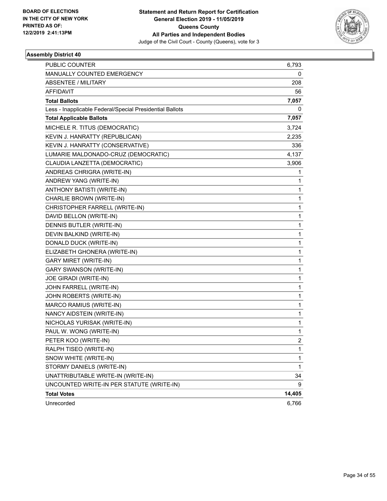

| <b>PUBLIC COUNTER</b>                                    | 6,793          |
|----------------------------------------------------------|----------------|
| MANUALLY COUNTED EMERGENCY                               | 0              |
| <b>ABSENTEE / MILITARY</b>                               | 208            |
| <b>AFFIDAVIT</b>                                         | 56             |
| <b>Total Ballots</b>                                     | 7,057          |
| Less - Inapplicable Federal/Special Presidential Ballots | 0              |
| <b>Total Applicable Ballots</b>                          | 7,057          |
| MICHELE R. TITUS (DEMOCRATIC)                            | 3,724          |
| KEVIN J. HANRATTY (REPUBLICAN)                           | 2,235          |
| KEVIN J. HANRATTY (CONSERVATIVE)                         | 336            |
| LUMARIE MALDONADO-CRUZ (DEMOCRATIC)                      | 4,137          |
| CLAUDIA LANZETTA (DEMOCRATIC)                            | 3,906          |
| ANDREAS CHRIGRA (WRITE-IN)                               | 1              |
| ANDREW YANG (WRITE-IN)                                   | 1              |
| ANTHONY BATISTI (WRITE-IN)                               | $\mathbf{1}$   |
| CHARLIE BROWN (WRITE-IN)                                 | 1              |
| CHRISTOPHER FARRELL (WRITE-IN)                           | 1              |
| DAVID BELLON (WRITE-IN)                                  | $\mathbf{1}$   |
| DENNIS BUTLER (WRITE-IN)                                 | $\mathbf{1}$   |
| DEVIN BALKIND (WRITE-IN)                                 | 1              |
| DONALD DUCK (WRITE-IN)                                   | $\mathbf{1}$   |
| ELIZABETH GHONERA (WRITE-IN)                             | 1              |
| <b>GARY MIRET (WRITE-IN)</b>                             | 1              |
| <b>GARY SWANSON (WRITE-IN)</b>                           | $\mathbf{1}$   |
| JOE GIRADI (WRITE-IN)                                    | $\mathbf 1$    |
| JOHN FARRELL (WRITE-IN)                                  | 1              |
| JOHN ROBERTS (WRITE-IN)                                  | $\mathbf{1}$   |
| MARCO RAMIUS (WRITE-IN)                                  | 1              |
| NANCY AIDSTEIN (WRITE-IN)                                | 1              |
| NICHOLAS YURISAK (WRITE-IN)                              | $\mathbf 1$    |
| PAUL W. WONG (WRITE-IN)                                  | 1              |
| PETER KOO (WRITE-IN)                                     | $\overline{c}$ |
| RALPH TISEO (WRITE-IN)                                   | 1              |
| SNOW WHITE (WRITE-IN)                                    | 1              |
| STORMY DANIELS (WRITE-IN)                                | 1              |
| UNATTRIBUTABLE WRITE-IN (WRITE-IN)                       | 34             |
| UNCOUNTED WRITE-IN PER STATUTE (WRITE-IN)                | 9              |
| <b>Total Votes</b>                                       | 14,405         |
| Unrecorded                                               | 6,766          |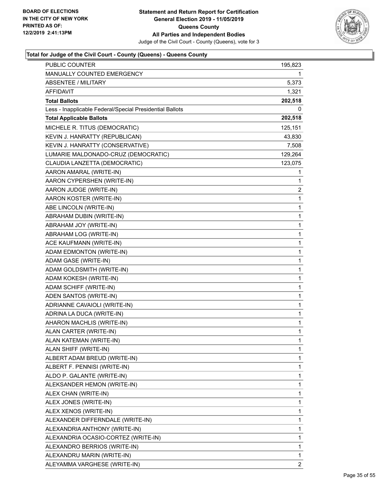

| <b>PUBLIC COUNTER</b>                                    | 195,823 |
|----------------------------------------------------------|---------|
| MANUALLY COUNTED EMERGENCY                               | 1.      |
| <b>ABSENTEE / MILITARY</b>                               | 5,373   |
| AFFIDAVIT                                                | 1,321   |
| <b>Total Ballots</b>                                     | 202,518 |
| Less - Inapplicable Federal/Special Presidential Ballots | 0       |
| <b>Total Applicable Ballots</b>                          | 202,518 |
| MICHELE R. TITUS (DEMOCRATIC)                            | 125,151 |
| KEVIN J. HANRATTY (REPUBLICAN)                           | 43,830  |
| KEVIN J. HANRATTY (CONSERVATIVE)                         | 7,508   |
| LUMARIE MALDONADO-CRUZ (DEMOCRATIC)                      | 129,264 |
| CLAUDIA LANZETTA (DEMOCRATIC)                            | 123,075 |
| AARON AMARAL (WRITE-IN)                                  | 1       |
| AARON CYPERSHEN (WRITE-IN)                               | 1       |
| AARON JUDGE (WRITE-IN)                                   | 2       |
| AARON KOSTER (WRITE-IN)                                  | 1       |
| ABE LINCOLN (WRITE-IN)                                   | 1       |
| ABRAHAM DUBIN (WRITE-IN)                                 | 1       |
| ABRAHAM JOY (WRITE-IN)                                   | 1       |
| ABRAHAM LOG (WRITE-IN)                                   | 1       |
| ACE KAUFMANN (WRITE-IN)                                  | 1       |
| ADAM EDMONTON (WRITE-IN)                                 | 1       |
| ADAM GASE (WRITE-IN)                                     | 1       |
| ADAM GOLDSMITH (WRITE-IN)                                | 1       |
| ADAM KOKESH (WRITE-IN)                                   | 1       |
| ADAM SCHIFF (WRITE-IN)                                   | 1       |
| ADEN SANTOS (WRITE-IN)                                   | 1       |
| ADRIANNE CAVAIOLI (WRITE-IN)                             | 1       |
| ADRINA LA DUCA (WRITE-IN)                                | 1       |
| AHARON MACHLIS (WRITE-IN)                                | 1       |
| ALAN CARTER (WRITE-IN)                                   | 1       |
| ALAN KATEMAN (WRITE-IN)                                  | 1       |
| ALAN SHIFF (WRITE-IN)                                    | 1       |
| ALBERT ADAM BREUD (WRITE-IN)                             | 1       |
| ALBERT F. PENNISI (WRITE-IN)                             | 1       |
| ALDO P. GALANTE (WRITE-IN)                               | 1       |
| ALEKSANDER HEMON (WRITE-IN)                              | 1       |
| ALEX CHAN (WRITE-IN)                                     | 1       |
| ALEX JONES (WRITE-IN)                                    | 1       |
| ALEX XENOS (WRITE-IN)                                    | 1       |
| ALEXANDER DIFFERNDALE (WRITE-IN)                         | 1       |
| ALEXANDRIA ANTHONY (WRITE-IN)                            | 1       |
| ALEXANDRIA OCASIO-CORTEZ (WRITE-IN)                      | 1       |
| ALEXANDRO BERRIOS (WRITE-IN)                             | 1       |
| ALEXANDRU MARIN (WRITE-IN)                               | 1       |
| ALEYAMMA VARGHESE (WRITE-IN)                             | 2       |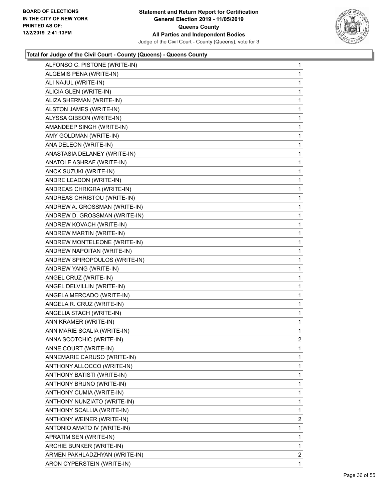

| ALFONSO C. PISTONE (WRITE-IN) | 1              |
|-------------------------------|----------------|
| ALGEMIS PENA (WRITE-IN)       | 1              |
| ALI NAJUL (WRITE-IN)          | 1              |
| ALICIA GLEN (WRITE-IN)        | 1              |
| ALIZA SHERMAN (WRITE-IN)      | 1              |
| ALSTON JAMES (WRITE-IN)       | 1              |
| ALYSSA GIBSON (WRITE-IN)      | 1              |
| AMANDEEP SINGH (WRITE-IN)     | 1              |
| AMY GOLDMAN (WRITE-IN)        | 1              |
| ANA DELEON (WRITE-IN)         | 1              |
| ANASTASIA DELANEY (WRITE-IN)  | 1              |
| ANATOLE ASHRAF (WRITE-IN)     | 1              |
| ANCK SUZUKI (WRITE-IN)        | 1              |
| ANDRE LEADON (WRITE-IN)       | 1              |
| ANDREAS CHRIGRA (WRITE-IN)    | 1              |
| ANDREAS CHRISTOU (WRITE-IN)   | 1              |
| ANDREW A. GROSSMAN (WRITE-IN) | 1              |
| ANDREW D. GROSSMAN (WRITE-IN) | 1              |
| ANDREW KOVACH (WRITE-IN)      | 1              |
| ANDREW MARTIN (WRITE-IN)      | 1              |
| ANDREW MONTELEONE (WRITE-IN)  | 1              |
| ANDREW NAPOITAN (WRITE-IN)    | 1              |
| ANDREW SPIROPOULOS (WRITE-IN) | 1              |
| ANDREW YANG (WRITE-IN)        | 1              |
| ANGEL CRUZ (WRITE-IN)         | 1              |
| ANGEL DELVILLIN (WRITE-IN)    | 1              |
| ANGELA MERCADO (WRITE-IN)     | 1              |
| ANGELA R. CRUZ (WRITE-IN)     | 1              |
| ANGELIA STACH (WRITE-IN)      | 1              |
| ANN KRAMER (WRITE-IN)         | 1              |
| ANN MARIE SCALIA (WRITE-IN)   | 1              |
| ANNA SCOTCHIC (WRITE-IN)      | $\overline{2}$ |
| ANNE COURT (WRITE-IN)         | 1              |
| ANNEMARIE CARUSO (WRITE-IN)   | 1              |
| ANTHONY ALLOCCO (WRITE-IN)    | 1              |
| ANTHONY BATISTI (WRITE-IN)    | 1              |
| ANTHONY BRUNO (WRITE-IN)      | 1              |
| ANTHONY CUMIA (WRITE-IN)      | 1              |
| ANTHONY NUNZIATO (WRITE-IN)   | 1              |
| ANTHONY SCALLIA (WRITE-IN)    | 1              |
| ANTHONY WEINER (WRITE-IN)     | 2              |
| ANTONIO AMATO IV (WRITE-IN)   | 1              |
| APRATIM SEN (WRITE-IN)        | 1              |
| ARCHIE BUNKER (WRITE-IN)      | 1              |
| ARMEN PAKHLADZHYAN (WRITE-IN) | $\overline{2}$ |
| ARON CYPERSTEIN (WRITE-IN)    | 1              |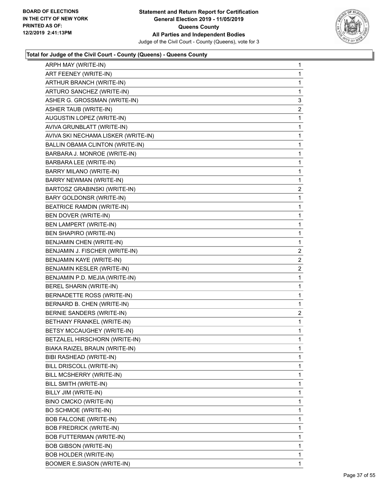

| ARPH MAY (WRITE-IN)                    | $\mathbf{1}$ |
|----------------------------------------|--------------|
| ART FEENEY (WRITE-IN)                  | $\mathbf 1$  |
| ARTHUR BRANCH (WRITE-IN)               | $\mathbf 1$  |
| ARTURO SANCHEZ (WRITE-IN)              | $\mathbf 1$  |
| ASHER G. GROSSMAN (WRITE-IN)           | 3            |
| ASHER TAUB (WRITE-IN)                  | 2            |
| AUGUSTIN LOPEZ (WRITE-IN)              | $\mathbf 1$  |
| AVIVA GRUNBLATT (WRITE-IN)             | 1            |
| AVIVA SKI NECHAMA LISKER (WRITE-IN)    | $\mathbf 1$  |
| <b>BALLIN OBAMA CLINTON (WRITE-IN)</b> | $\mathbf 1$  |
| BARBARA J. MONROE (WRITE-IN)           | 1            |
| BARBARA LEE (WRITE-IN)                 | $\mathbf 1$  |
| BARRY MILANO (WRITE-IN)                | $\mathbf 1$  |
| BARRY NEWMAN (WRITE-IN)                | 1            |
| BARTOSZ GRABINSKI (WRITE-IN)           | 2            |
| BARY GOLDONSR (WRITE-IN)               | $\mathbf 1$  |
| <b>BEATRICE RAMDIN (WRITE-IN)</b>      | 1            |
| BEN DOVER (WRITE-IN)                   | $\mathbf 1$  |
| BEN LAMPERT (WRITE-IN)                 | $\mathbf 1$  |
| BEN SHAPIRO (WRITE-IN)                 | 1            |
| BENJAMIN CHEN (WRITE-IN)               | $\mathbf{1}$ |
| BENJAMIN J. FISCHER (WRITE-IN)         | 2            |
| BENJAMIN KAYE (WRITE-IN)               | 2            |
| BENJAMIN KESLER (WRITE-IN)             | 2            |
| BENJAMIN P.D. MEJIA (WRITE-IN)         | $\mathbf 1$  |
| BEREL SHARIN (WRITE-IN)                | 1            |
| BERNADETTE ROSS (WRITE-IN)             | $\mathbf{1}$ |
| BERNARD B. CHEN (WRITE-IN)             | 1            |
| BERNIE SANDERS (WRITE-IN)              | 2            |
| BETHANY FRANKEL (WRITE-IN)             | $\mathbf{1}$ |
| BETSY MCCAUGHEY (WRITE-IN)             | $\mathbf{1}$ |
| BETZALEL HIRSCHORN (WRITE-IN)          | 1            |
| BIAKA RAIZEL BRAUN (WRITE-IN)          | 1            |
| BIBI RASHEAD (WRITE-IN)                | 1            |
| BILL DRISCOLL (WRITE-IN)               | 1            |
| BILL MCSHERRY (WRITE-IN)               | 1            |
| BILL SMITH (WRITE-IN)                  | 1            |
| BILLY JIM (WRITE-IN)                   | 1            |
| BINO CMCKO (WRITE-IN)                  | 1            |
| BO SCHMOE (WRITE-IN)                   | 1            |
| <b>BOB FALCONE (WRITE-IN)</b>          | 1            |
| <b>BOB FREDRICK (WRITE-IN)</b>         | 1            |
| <b>BOB FUTTERMAN (WRITE-IN)</b>        | 1            |
| <b>BOB GIBSON (WRITE-IN)</b>           | 1            |
| BOB HOLDER (WRITE-IN)                  | 1            |
| <b>BOOMER E.SIASON (WRITE-IN)</b>      | $\mathbf{1}$ |
|                                        |              |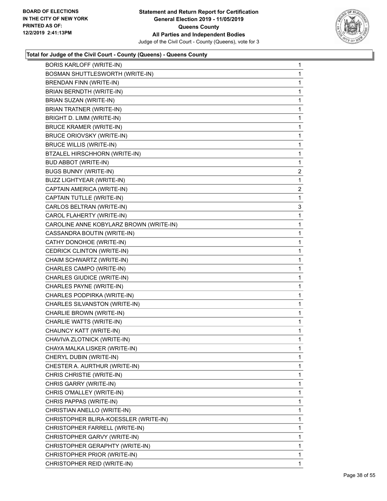

| <b>BORIS KARLOFF (WRITE-IN)</b>         | 1              |
|-----------------------------------------|----------------|
| BOSMAN SHUTTLESWORTH (WRITE-IN)         | 1              |
| BRENDAN FINN (WRITE-IN)                 | 1              |
| BRIAN BERNDTH (WRITE-IN)                | 1              |
| BRIAN SUZAN (WRITE-IN)                  | 1              |
| <b>BRIAN TRATNER (WRITE-IN)</b>         | 1              |
| BRIGHT D. LIMM (WRITE-IN)               | 1              |
| <b>BRUCE KRAMER (WRITE-IN)</b>          | 1              |
| BRUCE ORIOVSKY (WRITE-IN)               | 1              |
| <b>BRUCE WILLIS (WRITE-IN)</b>          | 1              |
| BTZALEL HIRSCHHORN (WRITE-IN)           | 1              |
| <b>BUD ABBOT (WRITE-IN)</b>             | 1              |
| <b>BUGS BUNNY (WRITE-IN)</b>            | $\overline{2}$ |
| <b>BUZZ LIGHTYEAR (WRITE-IN)</b>        | 1              |
| CAPTAIN AMERICA (WRITE-IN)              | $\overline{c}$ |
| CAPTAIN TUTLLE (WRITE-IN)               | 1              |
| CARLOS BELTRAN (WRITE-IN)               | 3              |
| CAROL FLAHERTY (WRITE-IN)               | 1              |
| CAROLINE ANNE KOBYLARZ BROWN (WRITE-IN) | 1              |
| CASSANDRA BOUTIN (WRITE-IN)             | 1              |
| CATHY DONOHOE (WRITE-IN)                | 1              |
| CEDRICK CLINTON (WRITE-IN)              | 1              |
| CHAIM SCHWARTZ (WRITE-IN)               | 1              |
| CHARLES CAMPO (WRITE-IN)                | 1              |
| CHARLES GIUDICE (WRITE-IN)              | 1              |
| CHARLES PAYNE (WRITE-IN)                | 1              |
| CHARLES PODPIRKA (WRITE-IN)             | 1              |
| CHARLES SILVANSTON (WRITE-IN)           | 1              |
| CHARLIE BROWN (WRITE-IN)                | 1              |
| CHARLIE WATTS (WRITE-IN)                | 1              |
| CHAUNCY KATT (WRITE-IN)                 | 1              |
| CHAVIVA ZLOTNICK (WRITE-IN)             | 1              |
| CHAYA MALKA LISKER (WRITE-IN)           | 1              |
| CHERYL DUBIN (WRITE-IN)                 | 1              |
| CHESTER A. AURTHUR (WRITE-IN)           | 1              |
| CHRIS CHRISTIE (WRITE-IN)               | 1              |
| CHRIS GARRY (WRITE-IN)                  | 1              |
| CHRIS O'MALLEY (WRITE-IN)               | 1              |
| CHRIS PAPPAS (WRITE-IN)                 | 1              |
| CHRISTIAN ANELLO (WRITE-IN)             | 1              |
| CHRISTOPHER BLIRA-KOESSLER (WRITE-IN)   | 1              |
| CHRISTOPHER FARRELL (WRITE-IN)          | 1              |
| CHRISTOPHER GARVY (WRITE-IN)            | 1              |
| CHRISTOPHER GERAPHTY (WRITE-IN)         | 1              |
| CHRISTOPHER PRIOR (WRITE-IN)            | 1              |
| CHRISTOPHER REID (WRITE-IN)             | 1              |
|                                         |                |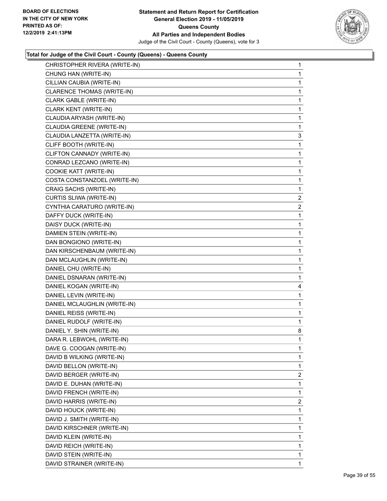

| CHRISTOPHER RIVERA (WRITE-IN) | 1              |
|-------------------------------|----------------|
| CHUNG HAN (WRITE-IN)          | 1              |
| CILLIAN CAUBIA (WRITE-IN)     | 1              |
| CLARENCE THOMAS (WRITE-IN)    | 1              |
| CLARK GABLE (WRITE-IN)        | 1              |
| CLARK KENT (WRITE-IN)         | 1              |
| CLAUDIA ARYASH (WRITE-IN)     | 1              |
| CLAUDIA GREENE (WRITE-IN)     | 1              |
| CLAUDIA LANZETTA (WRITE-IN)   | 3              |
| CLIFF BOOTH (WRITE-IN)        | 1              |
| CLIFTON CANNADY (WRITE-IN)    | 1              |
| CONRAD LEZCANO (WRITE-IN)     | 1              |
| COOKIE KATT (WRITE-IN)        | 1              |
| COSTA CONSTANZOEL (WRITE-IN)  | $\mathbf{1}$   |
| CRAIG SACHS (WRITE-IN)        | 1              |
| CURTIS SLIWA (WRITE-IN)       | $\overline{2}$ |
| CYNTHIA CARATURO (WRITE-IN)   | $\overline{2}$ |
| DAFFY DUCK (WRITE-IN)         | 1              |
| DAISY DUCK (WRITE-IN)         | 1              |
| DAMIEN STEIN (WRITE-IN)       | $\mathbf{1}$   |
| DAN BONGIONO (WRITE-IN)       | 1              |
| DAN KIRSCHENBAUM (WRITE-IN)   | 1              |
| DAN MCLAUGHLIN (WRITE-IN)     | 1              |
| DANIEL CHU (WRITE-IN)         | 1              |
|                               |                |
| DANIEL DSNARAN (WRITE-IN)     | 1              |
| DANIEL KOGAN (WRITE-IN)       | 4              |
| DANIEL LEVIN (WRITE-IN)       | 1              |
| DANIEL MCLAUGHLIN (WRITE-IN)  | 1              |
| DANIEL REISS (WRITE-IN)       | 1              |
| DANIEL RUDOLF (WRITE-IN)      | 1              |
| DANIEL Y. SHIN (WRITE-IN)     | 8              |
| DARA R. LEBWOHL (WRITE-IN)    | 1              |
| DAVE G. COOGAN (WRITE-IN)     | 1              |
| DAVID B WILKING (WRITE-IN)    | 1              |
| DAVID BELLON (WRITE-IN)       | 1              |
| DAVID BERGER (WRITE-IN)       | $\overline{2}$ |
| DAVID E. DUHAN (WRITE-IN)     | 1              |
| DAVID FRENCH (WRITE-IN)       | 1              |
| DAVID HARRIS (WRITE-IN)       | $\overline{2}$ |
| DAVID HOUCK (WRITE-IN)        | 1              |
| DAVID J. SMITH (WRITE-IN)     | 1              |
| DAVID KIRSCHNER (WRITE-IN)    | 1              |
| DAVID KLEIN (WRITE-IN)        | 1              |
| DAVID REICH (WRITE-IN)        | 1              |
| DAVID STEIN (WRITE-IN)        | 1              |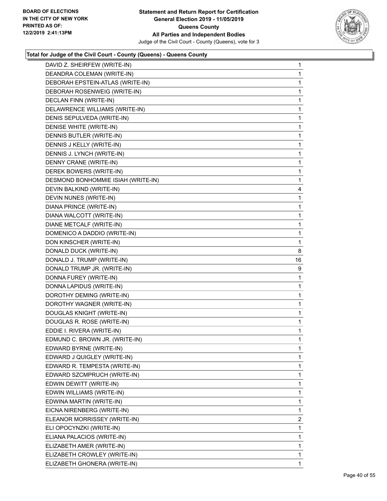

| DAVID Z. SHEIRFEW (WRITE-IN)       | 1  |
|------------------------------------|----|
| DEANDRA COLEMAN (WRITE-IN)         | 1  |
| DEBORAH EPSTEIN-ATLAS (WRITE-IN)   | 1  |
| DEBORAH ROSENWEIG (WRITE-IN)       | 1  |
| DECLAN FINN (WRITE-IN)             | 1  |
| DELAWRENCE WILLIAMS (WRITE-IN)     | 1  |
| DENIS SEPULVEDA (WRITE-IN)         | 1  |
| DENISE WHITE (WRITE-IN)            | 1  |
| DENNIS BUTLER (WRITE-IN)           | 1  |
| DENNIS J KELLY (WRITE-IN)          | 1  |
| DENNIS J. LYNCH (WRITE-IN)         | 1  |
| DENNY CRANE (WRITE-IN)             | 1  |
| DEREK BOWERS (WRITE-IN)            | 1  |
| DESMOND BONHOMMIE ISIAH (WRITE-IN) | 1  |
| DEVIN BALKIND (WRITE-IN)           | 4  |
| DEVIN NUNES (WRITE-IN)             | 1  |
| DIANA PRINCE (WRITE-IN)            | 1  |
| DIANA WALCOTT (WRITE-IN)           | 1  |
| DIANE METCALF (WRITE-IN)           | 1  |
| DOMENICO A DADDIO (WRITE-IN)       | 1  |
| DON KINSCHER (WRITE-IN)            | 1  |
| DONALD DUCK (WRITE-IN)             | 8  |
| DONALD J. TRUMP (WRITE-IN)         | 16 |
| DONALD TRUMP JR. (WRITE-IN)        | 9  |
| DONNA FUREY (WRITE-IN)             | 1  |
| DONNA LAPIDUS (WRITE-IN)           | 1  |
| DOROTHY DEMING (WRITE-IN)          | 1  |
| DOROTHY WAGNER (WRITE-IN)          | 1  |
| DOUGLAS KNIGHT (WRITE-IN)          | 1  |
| DOUGLAS R. ROSE (WRITE-IN)         | 1  |
| EDDIE I. RIVERA (WRITE-IN)         | 1  |
| EDMUND C. BROWN JR. (WRITE-IN)     | 1  |
| EDWARD BYRNE (WRITE-IN)            | 1  |
| EDWARD J QUIGLEY (WRITE-IN)        | 1  |
| EDWARD R. TEMPESTA (WRITE-IN)      | 1  |
| EDWARD SZCMPRUCH (WRITE-IN)        | 1  |
| EDWIN DEWITT (WRITE-IN)            | 1  |
| EDWIN WILLIAMS (WRITE-IN)          | 1  |
| EDWINA MARTIN (WRITE-IN)           | 1  |
| EICNA NIRENBERG (WRITE-IN)         | 1  |
| ELEANOR MORRISSEY (WRITE-IN)       | 2  |
| ELI OPOCYNZKI (WRITE-IN)           | 1  |
| ELIANA PALACIOS (WRITE-IN)         | 1  |
| ELIZABETH AMER (WRITE-IN)          | 1  |
| ELIZABETH CROWLEY (WRITE-IN)       | 1  |
| ELIZABETH GHONERA (WRITE-IN)       | 1  |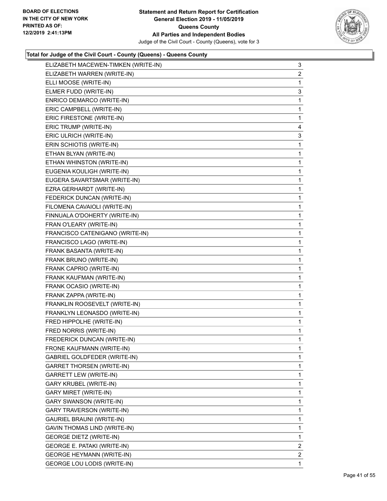

| ELIZABETH MACEWEN-TIMKEN (WRITE-IN) | 3              |
|-------------------------------------|----------------|
| ELIZABETH WARREN (WRITE-IN)         | 2              |
| ELLI MOOSE (WRITE-IN)               | 1              |
| ELMER FUDD (WRITE-IN)               | 3              |
| ENRICO DEMARCO (WRITE-IN)           | 1              |
| ERIC CAMPBELL (WRITE-IN)            | 1              |
| ERIC FIRESTONE (WRITE-IN)           | 1              |
| ERIC TRUMP (WRITE-IN)               | 4              |
| ERIC ULRICH (WRITE-IN)              | 3              |
| ERIN SCHIOTIS (WRITE-IN)            | 1              |
| ETHAN BLYAN (WRITE-IN)              | 1              |
| ETHAN WHINSTON (WRITE-IN)           | 1              |
| EUGENIA KOULIGH (WRITE-IN)          | 1              |
| EUGERA SAVARTSMAR (WRITE-IN)        | 1              |
| EZRA GERHARDT (WRITE-IN)            | 1              |
| FEDERICK DUNCAN (WRITE-IN)          | 1              |
| FILOMENA CAVAIOLI (WRITE-IN)        | 1              |
| FINNUALA O'DOHERTY (WRITE-IN)       | 1              |
| FRAN O'LEARY (WRITE-IN)             | 1              |
| FRANCISCO CATENIGANO (WRITE-IN)     | 1              |
| FRANCISCO LAGO (WRITE-IN)           | 1              |
| FRANK BASANTA (WRITE-IN)            | 1              |
| FRANK BRUNO (WRITE-IN)              | 1              |
| FRANK CAPRIO (WRITE-IN)             | 1              |
| FRANK KAUFMAN (WRITE-IN)            | 1              |
| FRANK OCASIO (WRITE-IN)             | 1              |
| FRANK ZAPPA (WRITE-IN)              | 1              |
| FRANKLIN ROOSEVELT (WRITE-IN)       | 1              |
| FRANKLYN LEONASDO (WRITE-IN)        | 1              |
| FRED HIPPOLHE (WRITE-IN)            | 1              |
| FRED NORRIS (WRITE-IN)              | 1              |
| FREDERICK DUNCAN (WRITE-IN)         | 1              |
| FRONE KAUFMANN (WRITE-IN)           | 1              |
| GABRIEL GOLDFEDER (WRITE-IN)        | $\mathbf{1}$   |
| GARRET THORSEN (WRITE-IN)           | 1              |
| <b>GARRETT LEW (WRITE-IN)</b>       | 1              |
| <b>GARY KRUBEL (WRITE-IN)</b>       | 1              |
| <b>GARY MIRET (WRITE-IN)</b>        | 1              |
| <b>GARY SWANSON (WRITE-IN)</b>      | 1              |
| <b>GARY TRAVERSON (WRITE-IN)</b>    | 1              |
| GAURIEL BRAUNI (WRITE-IN)           | 1              |
| GAVIN THOMAS LIND (WRITE-IN)        | 1              |
| <b>GEORGE DIETZ (WRITE-IN)</b>      | 1              |
| <b>GEORGE E. PATAKI (WRITE-IN)</b>  | $\overline{2}$ |
| <b>GEORGE HEYMANN (WRITE-IN)</b>    | $\overline{2}$ |
| <b>GEORGE LOU LODIS (WRITE-IN)</b>  | 1              |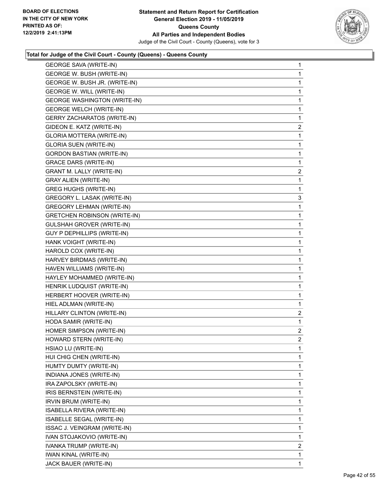

| <b>GEORGE SAVA (WRITE-IN)</b>       | $\mathbf{1}$   |
|-------------------------------------|----------------|
| GEORGE W. BUSH (WRITE-IN)           | $\mathbf{1}$   |
| GEORGE W. BUSH JR. (WRITE-IN)       | $\mathbf 1$    |
| <b>GEORGE W. WILL (WRITE-IN)</b>    | $\mathbf 1$    |
| <b>GEORGE WASHINGTON (WRITE-IN)</b> | 1              |
| <b>GEORGE WELCH (WRITE-IN)</b>      | 1              |
| <b>GERRY ZACHARATOS (WRITE-IN)</b>  | $\mathbf 1$    |
| GIDEON E. KATZ (WRITE-IN)           | $\overline{c}$ |
| GLORIA MOTTERA (WRITE-IN)           | 1              |
| <b>GLORIA SUEN (WRITE-IN)</b>       | $\mathbf 1$    |
| <b>GORDON BASTIAN (WRITE-IN)</b>    | $\mathbf 1$    |
| <b>GRACE DARS (WRITE-IN)</b>        | 1              |
| <b>GRANT M. LALLY (WRITE-IN)</b>    | $\overline{c}$ |
| <b>GRAY ALIEN (WRITE-IN)</b>        | $\mathbf{1}$   |
| <b>GREG HUGHS (WRITE-IN)</b>        | 1              |
| GREGORY L. LASAK (WRITE-IN)         | 3              |
| <b>GREGORY LEHMAN (WRITE-IN)</b>    | 1              |
| <b>GRETCHEN ROBINSON (WRITE-IN)</b> | 1              |
| <b>GULSHAH GROVER (WRITE-IN)</b>    | $\mathbf 1$    |
| GUY P DEPHILLIPS (WRITE-IN)         | $\mathbf 1$    |
| HANK VOIGHT (WRITE-IN)              | $\mathbf 1$    |
| HAROLD COX (WRITE-IN)               | $\mathbf 1$    |
| HARVEY BIRDMAS (WRITE-IN)           | 1              |
| HAVEN WILLIAMS (WRITE-IN)           | 1              |
| HAYLEY MOHAMMED (WRITE-IN)          | $\mathbf 1$    |
| HENRIK LUDQUIST (WRITE-IN)          | $\mathbf{1}$   |
| HERBERT HOOVER (WRITE-IN)           | $\mathbf 1$    |
| HIEL ADLMAN (WRITE-IN)              | $\mathbf 1$    |
| HILLARY CLINTON (WRITE-IN)          | 2              |
| HODA SAMIR (WRITE-IN)               | 1              |
| HOMER SIMPSON (WRITE-IN)            | $\overline{2}$ |
| HOWARD STERN (WRITE-IN)             | $\overline{2}$ |
| HSIAO LU (WRITE-IN)                 | 1              |
| HUI CHIG CHEN (WRITE-IN)            | $\mathbf{1}$   |
| HUMTY DUMTY (WRITE-IN)              | 1              |
| INDIANA JONES (WRITE-IN)            | 1              |
| IRA ZAPOLSKY (WRITE-IN)             | 1              |
| IRIS BERNSTEIN (WRITE-IN)           | 1              |
| IRVIN BRUM (WRITE-IN)               | 1              |
| ISABELLA RIVERA (WRITE-IN)          | 1              |
| ISABELLE SEGAL (WRITE-IN)           | 1              |
| ISSAC J. VEINGRAM (WRITE-IN)        | 1              |
| IVAN STOJAKOVIO (WRITE-IN)          | 1              |
| IVANKA TRUMP (WRITE-IN)             | 2              |
| IWAN KINAL (WRITE-IN)               | 1              |
| JACK BAUER (WRITE-IN)               | $\mathbf{1}$   |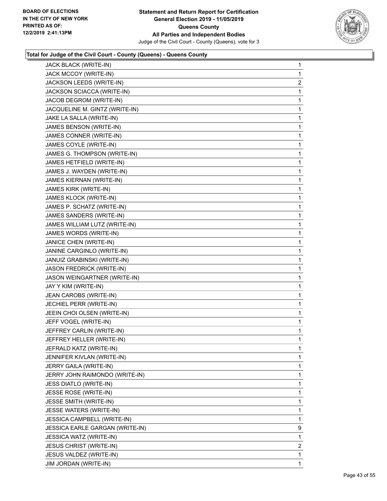

| JACK BLACK (WRITE-IN)           | 1              |
|---------------------------------|----------------|
| JACK MCCOY (WRITE-IN)           | 1              |
| JACKSON LEEDS (WRITE-IN)        | $\overline{c}$ |
| JACKSON SCIACCA (WRITE-IN)      | 1              |
| JACOB DEGROM (WRITE-IN)         | 1              |
| JACQUELINE M. GINTZ (WRITE-IN)  | 1              |
| JAKE LA SALLA (WRITE-IN)        | 1              |
| JAMES BENSON (WRITE-IN)         | 1              |
| JAMES CONNER (WRITE-IN)         | 1              |
| JAMES COYLE (WRITE-IN)          | 1              |
| JAMES G. THOMPSON (WRITE-IN)    | 1              |
| JAMES HETFIELD (WRITE-IN)       | 1              |
| JAMES J. WAYDEN (WRITE-IN)      | 1              |
| JAMES KIERNAN (WRITE-IN)        | 1              |
| JAMES KIRK (WRITE-IN)           | 1              |
| JAMES KLOCK (WRITE-IN)          | 1              |
| JAMES P. SCHATZ (WRITE-IN)      | 1              |
| JAMES SANDERS (WRITE-IN)        | 1              |
| JAMES WILLIAM LUTZ (WRITE-IN)   | 1              |
| JAMES WORDS (WRITE-IN)          | 1              |
| JANICE CHEN (WRITE-IN)          | 1              |
| JANINE CARGINLO (WRITE-IN)      | 1              |
| JANUIZ GRABINSKI (WRITE-IN)     | 1              |
| JASON FREDRICK (WRITE-IN)       | 1              |
| JASON WEINGARTNER (WRITE-IN)    | 1              |
| JAY Y KIM (WRITE-IN)            | 1              |
| JEAN CAROBS (WRITE-IN)          | 1              |
| JECHIEL PERR (WRITE-IN)         | 1              |
| JEEIN CHOI OLSEN (WRITE-IN)     | 1              |
| JEFF VOGEL (WRITE-IN)           | 1              |
| JEFFREY CARLIN (WRITE-IN)       | 1              |
| JEFFREY HELLER (WRITE-IN)       | 1              |
| JEFRALD KATZ (WRITE-IN)         | 1              |
| JENNIFER KIVLAN (WRITE-IN)      | 1              |
| JERRY GAILA (WRITE-IN)          | 1              |
| JERRY JOHN RAIMONDO (WRITE-IN)  | 1              |
| JESS DIATLO (WRITE-IN)          | 1              |
| JESSE ROSE (WRITE-IN)           | 1              |
| JESSE SMITH (WRITE-IN)          | 1              |
| JESSE WATERS (WRITE-IN)         | 1              |
| JESSICA CAMPBELL (WRITE-IN)     | 1              |
| JESSICA EARLE GARGAN (WRITE-IN) | 9              |
| JESSICA WATZ (WRITE-IN)         | 1              |
| <b>JESUS CHRIST (WRITE-IN)</b>  | $\overline{2}$ |
| JESUS VALDEZ (WRITE-IN)         | 1              |
| JIM JORDAN (WRITE-IN)           | $\mathbf{1}$   |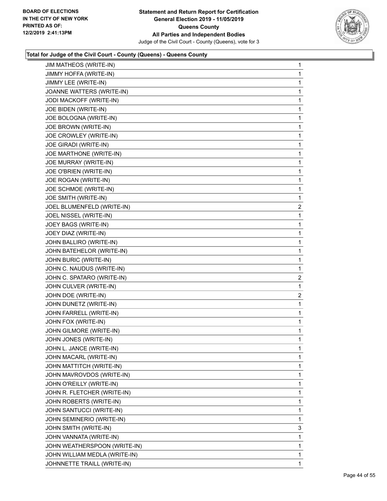

| JIM MATHEOS (WRITE-IN)        | 1              |
|-------------------------------|----------------|
| JIMMY HOFFA (WRITE-IN)        | 1              |
| JIMMY LEE (WRITE-IN)          | 1              |
| JOANNE WATTERS (WRITE-IN)     | 1              |
| JODI MACKOFF (WRITE-IN)       | 1              |
| JOE BIDEN (WRITE-IN)          | 1              |
| JOE BOLOGNA (WRITE-IN)        | 1              |
| JOE BROWN (WRITE-IN)          | 1              |
| JOE CROWLEY (WRITE-IN)        | 1              |
| <b>JOE GIRADI (WRITE-IN)</b>  | 1              |
| JOE MARTHONE (WRITE-IN)       | 1              |
| JOE MURRAY (WRITE-IN)         | 1              |
| JOE O'BRIEN (WRITE-IN)        | 1              |
| JOE ROGAN (WRITE-IN)          | 1              |
| JOE SCHMOE (WRITE-IN)         | 1              |
| JOE SMITH (WRITE-IN)          | 1              |
| JOEL BLUMENFELD (WRITE-IN)    | $\overline{c}$ |
| JOEL NISSEL (WRITE-IN)        | 1              |
| JOEY BAGS (WRITE-IN)          | 1              |
| JOEY DIAZ (WRITE-IN)          | 1              |
| JOHN BALLIRO (WRITE-IN)       | 1              |
| JOHN BATEHELOR (WRITE-IN)     | 1              |
| JOHN BURIC (WRITE-IN)         | 1              |
| JOHN C. NAUDUS (WRITE-IN)     | 1              |
| JOHN C. SPATARO (WRITE-IN)    | $\overline{2}$ |
| JOHN CULVER (WRITE-IN)        | 1              |
| JOHN DOE (WRITE-IN)           | 2              |
| JOHN DUNETZ (WRITE-IN)        | 1              |
| JOHN FARRELL (WRITE-IN)       | 1              |
| JOHN FOX (WRITE-IN)           | 1              |
| JOHN GILMORE (WRITE-IN)       | 1              |
| JOHN JONES (WRITE-IN)         | 1              |
| JOHN L. JANCE (WRITE-IN)      | 1              |
| JOHN MACARL (WRITE-IN)        | 1              |
| JOHN MATTITCH (WRITE-IN)      | 1              |
| JOHN MAVROVDOS (WRITE-IN)     | 1              |
| JOHN O'REILLY (WRITE-IN)      | 1              |
| JOHN R. FLETCHER (WRITE-IN)   | 1              |
| JOHN ROBERTS (WRITE-IN)       | 1              |
| JOHN SANTUCCI (WRITE-IN)      | 1              |
| JOHN SEMINERIO (WRITE-IN)     | 1              |
| JOHN SMITH (WRITE-IN)         | 3              |
| JOHN VANNATA (WRITE-IN)       | 1              |
| JOHN WEATHERSPOON (WRITE-IN)  | 1              |
| JOHN WILLIAM MEDLA (WRITE-IN) | 1              |
| JOHNNETTE TRAILL (WRITE-IN)   | 1              |
|                               |                |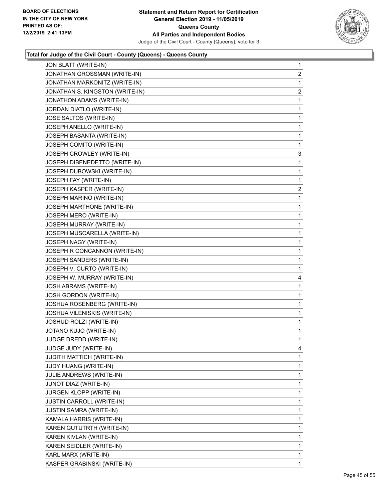

| JON BLATT (WRITE-IN)             | $\mathbf{1}$            |
|----------------------------------|-------------------------|
| JONATHAN GROSSMAN (WRITE-IN)     | $\overline{2}$          |
| JONATHAN MARKONITZ (WRITE-IN)    | 1                       |
| JONATHAN S. KINGSTON (WRITE-IN)  | $\overline{\mathbf{c}}$ |
| JONATHON ADAMS (WRITE-IN)        | 1                       |
| JORDAN DIATLO (WRITE-IN)         | 1                       |
| JOSE SALTOS (WRITE-IN)           | $\mathbf{1}$            |
| JOSEPH ANELLO (WRITE-IN)         | $\mathbf{1}$            |
| JOSEPH BASANTA (WRITE-IN)        | 1                       |
| JOSEPH COMITO (WRITE-IN)         | $\mathbf{1}$            |
| JOSEPH CROWLEY (WRITE-IN)        | 3                       |
| JOSEPH DIBENEDETTO (WRITE-IN)    | 1                       |
| JOSEPH DUBOWSKI (WRITE-IN)       | $\mathbf{1}$            |
| JOSEPH FAY (WRITE-IN)            | 1                       |
| JOSEPH KASPER (WRITE-IN)         | 2                       |
| JOSEPH MARINO (WRITE-IN)         | $\mathbf{1}$            |
| JOSEPH MARTHONE (WRITE-IN)       | 1                       |
| JOSEPH MERO (WRITE-IN)           | 1                       |
| JOSEPH MURRAY (WRITE-IN)         | $\mathbf 1$             |
| JOSEPH MUSCARELLA (WRITE-IN)     | $\mathbf 1$             |
| JOSEPH NAGY (WRITE-IN)           | 1                       |
| JOSEPH R CONCANNON (WRITE-IN)    | $\mathbf{1}$            |
| JOSEPH SANDERS (WRITE-IN)        | 1                       |
| JOSEPH V. CURTO (WRITE-IN)       | 1                       |
| JOSEPH W. MURRAY (WRITE-IN)      | 4                       |
| JOSH ABRAMS (WRITE-IN)           | 1                       |
| JOSH GORDON (WRITE-IN)           | 1                       |
| JOSHUA ROSENBERG (WRITE-IN)      | $\mathbf{1}$            |
| JOSHUA VILENISKIS (WRITE-IN)     | 1                       |
| JOSHUD ROLZI (WRITE-IN)          | 1                       |
| JOTANO KUJO (WRITE-IN)           | $\mathbf 1$             |
| JUDGE DREDD (WRITE-IN)           | 1                       |
| <b>JUDGE JUDY (WRITE-IN)</b>     | 4                       |
| JUDITH MATTICH (WRITE-IN)        | 1                       |
| JUDY HUANG (WRITE-IN)            | 1                       |
| JULIE ANDREWS (WRITE-IN)         | 1                       |
| JUNOT DIAZ (WRITE-IN)            | 1                       |
| <b>JURGEN KLOPP (WRITE-IN)</b>   | 1                       |
| <b>JUSTIN CARROLL (WRITE-IN)</b> | 1                       |
| <b>JUSTIN SAMRA (WRITE-IN)</b>   | 1                       |
| KAMALA HARRIS (WRITE-IN)         | 1                       |
| KAREN GUTUTRTH (WRITE-IN)        | 1                       |
| KAREN KIVLAN (WRITE-IN)          | 1                       |
| KAREN SEIDLER (WRITE-IN)         | 1                       |
| KARL MARX (WRITE-IN)             | 1                       |
| KASPER GRABINSKI (WRITE-IN)      | $\mathbf{1}$            |
|                                  |                         |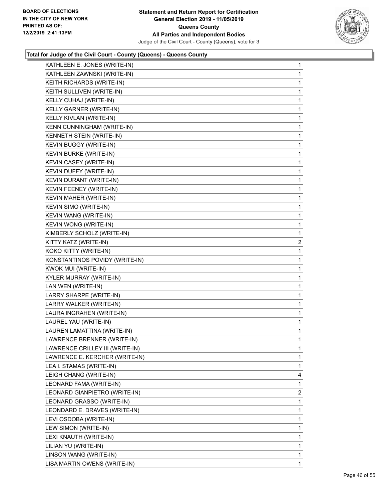

| KATHLEEN E. JONES (WRITE-IN)    | $\mathbf{1}$   |
|---------------------------------|----------------|
| KATHLEEN ZAWNSKI (WRITE-IN)     | 1              |
| KEITH RICHARDS (WRITE-IN)       | 1              |
| KEITH SULLIVEN (WRITE-IN)       | 1              |
| KELLY CUHAJ (WRITE-IN)          | 1              |
| KELLY GARNER (WRITE-IN)         | 1              |
| KELLY KIVLAN (WRITE-IN)         | 1              |
| KENN CUNNINGHAM (WRITE-IN)      | 1              |
| KENNETH STEIN (WRITE-IN)        | 1              |
| KEVIN BUGGY (WRITE-IN)          | 1              |
| KEVIN BURKE (WRITE-IN)          | 1              |
| KEVIN CASEY (WRITE-IN)          | 1              |
| KEVIN DUFFY (WRITE-IN)          | 1              |
| KEVIN DURANT (WRITE-IN)         | 1              |
| KEVIN FEENEY (WRITE-IN)         | 1              |
| KEVIN MAHER (WRITE-IN)          | 1              |
| KEVIN SIMO (WRITE-IN)           | 1              |
| KEVIN WANG (WRITE-IN)           | 1              |
| KEVIN WONG (WRITE-IN)           | 1              |
| KIMBERLY SCHOLZ (WRITE-IN)      | 1              |
| KITTY KATZ (WRITE-IN)           | 2              |
| KOKO KITTY (WRITE-IN)           | 1              |
| KONSTANTINOS POVIDY (WRITE-IN)  | 1              |
| KWOK MUI (WRITE-IN)             | 1              |
| KYLER MURRAY (WRITE-IN)         | 1              |
| LAN WEN (WRITE-IN)              | 1              |
| LARRY SHARPE (WRITE-IN)         | 1              |
| LARRY WALKER (WRITE-IN)         | 1              |
| LAURA INGRAHEN (WRITE-IN)       | 1              |
| LAUREL YAU (WRITE-IN)           | 1              |
| LAUREN LAMATTINA (WRITE-IN)     | 1              |
| LAWRENCE BRENNER (WRITE-IN)     | 1              |
| LAWRENCE CRILLEY III (WRITE-IN) | 1              |
| LAWRENCE E. KERCHER (WRITE-IN)  | 1              |
| LEA I. STAMAS (WRITE-IN)        | 1              |
| LEIGH CHANG (WRITE-IN)          | 4              |
| LEONARD FAMA (WRITE-IN)         | 1              |
| LEONARD GIANPIETRO (WRITE-IN)   | $\overline{2}$ |
| LEONARD GRASSO (WRITE-IN)       | 1              |
| LEONDARD E. DRAVES (WRITE-IN)   | 1              |
| LEVI OSDOBA (WRITE-IN)          | 1              |
| LEW SIMON (WRITE-IN)            | 1              |
| LEXI KNAUTH (WRITE-IN)          | 1              |
| LILIAN YU (WRITE-IN)            | 1              |
| LINSON WANG (WRITE-IN)          |                |
|                                 | 1              |
| LISA MARTIN OWENS (WRITE-IN)    | 1              |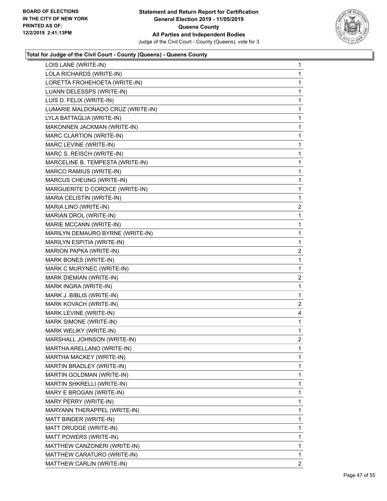

| LOIS LANE (WRITE-IN)              | $\mathbf{1}$   |
|-----------------------------------|----------------|
| LOLA RICHARDS (WRITE-IN)          | $\mathbf 1$    |
| LORETTA FROHEHOETA (WRITE-IN)     | 1              |
| LUANN DELESSPS (WRITE-IN)         | $\mathbf 1$    |
| LUIS D. FELIX (WRITE-IN)          | 1              |
| LUMARIE MALDONADO CRUZ (WRITE-IN) | $\mathbf 1$    |
| LYLA BATTAGLIA (WRITE-IN)         | $\mathbf 1$    |
| MAKONNEN JACKMAN (WRITE-IN)       | 1              |
| MARC CLARTION (WRITE-IN)          | $\mathbf{1}$   |
| MARC LEVINE (WRITE-IN)            | $\mathbf{1}$   |
| MARC S. REISCH (WRITE-IN)         | 1              |
| MARCELINE B. TEMPESTA (WRITE-IN)  | $\mathbf{1}$   |
| MARCO RAMIUS (WRITE-IN)           | $\mathbf{1}$   |
| MARCUS CHEUNG (WRITE-IN)          | 1              |
| MARGUERITE D CORDICE (WRITE-IN)   | $\mathbf{1}$   |
| MARIA CELISTIN (WRITE-IN)         | 1              |
| MARIA LINO (WRITE-IN)             | 2              |
| MARIAN DROL (WRITE-IN)            | $\mathbf{1}$   |
| MARIE MCCANN (WRITE-IN)           | $\mathbf{1}$   |
| MARILYN DEMAURO BYRNE (WRITE-IN)  | 1              |
| MARILYN ESPITIA (WRITE-IN)        | 1              |
| MARION PAPKA (WRITE-IN)           | 2              |
| MARK BONES (WRITE-IN)             | 1              |
| MARK C MURYNEC (WRITE-IN)         | $\mathbf{1}$   |
| MARK DIEMIAN (WRITE-IN)           | $\overline{c}$ |
| MARK INGRA (WRITE-IN)             | 1              |
| MARK J. BIBLIS (WRITE-IN)         | 1              |
| MARK KOVACH (WRITE-IN)            | 2              |
| MARK LEVINE (WRITE-IN)            | 4              |
| MARK SIMONE (WRITE-IN)            | $\mathbf{1}$   |
| MARK WELIKY (WRITE-IN)            | $\mathbf 1$    |
| MARSHALL JOHNSON (WRITE-IN)       | 2              |
| MARTHA ARELLANO (WRITE-IN)        | 1              |
| MARTHA MACKEY (WRITE-IN)          | $\mathbf{1}$   |
| MARTIN BRADLEY (WRITE-IN)         | 1              |
| MARTIN GOLDMAN (WRITE-IN)         | $\mathbf{1}$   |
| MARTIN SHKRELLI (WRITE-IN)        | 1              |
| MARY E BROGAN (WRITE-IN)          | 1              |
| MARY PERRY (WRITE-IN)             | 1              |
| MARYANN THERAPPEL (WRITE-IN)      | $\mathbf{1}$   |
| MATT BINDER (WRITE-IN)            | 1              |
| MATT DRUDGE (WRITE-IN)            | 1              |
| MATT POWERS (WRITE-IN)            | 1              |
| MATTHEW CANZONERI (WRITE-IN)      | 1              |
| MATTHEW CARATURO (WRITE-IN)       | $\mathbf{1}$   |
| MATTHEW CARLIN (WRITE-IN)         | $\mathbf{2}$   |
|                                   |                |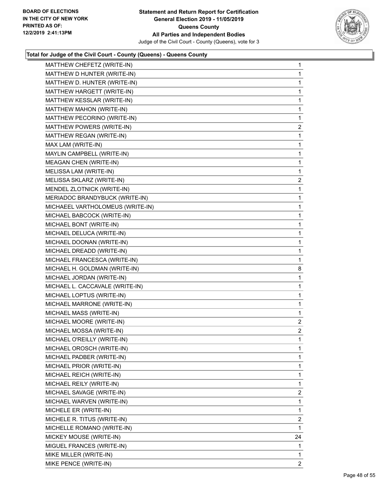

| MATTHEW CHEFETZ (WRITE-IN)       | $\mathbf{1}$   |
|----------------------------------|----------------|
| MATTHEW D HUNTER (WRITE-IN)      | 1              |
| MATTHEW D. HUNTER (WRITE-IN)     | 1              |
| MATTHEW HARGETT (WRITE-IN)       | $\mathbf{1}$   |
| MATTHEW KESSLAR (WRITE-IN)       | 1              |
| MATTHEW MAHON (WRITE-IN)         | $\mathbf{1}$   |
| MATTHEW PECORINO (WRITE-IN)      | $\mathbf{1}$   |
| MATTHEW POWERS (WRITE-IN)        | $\overline{2}$ |
| MATTHEW REGAN (WRITE-IN)         | 1              |
| MAX LAM (WRITE-IN)               | $\mathbf{1}$   |
| MAYLIN CAMPBELL (WRITE-IN)       | 1              |
| MEAGAN CHEN (WRITE-IN)           | $\mathbf{1}$   |
| MELISSA LAM (WRITE-IN)           | $\mathbf{1}$   |
| MELISSA SKLARZ (WRITE-IN)        | $\overline{2}$ |
| MENDEL ZLOTNICK (WRITE-IN)       | 1              |
| MERIADOC BRANDYBUCK (WRITE-IN)   | $\mathbf{1}$   |
| MICHAEEL VARTHOLOMEUS (WRITE-IN) | 1              |
| MICHAEL BABCOCK (WRITE-IN)       | $\mathbf{1}$   |
| MICHAEL BONT (WRITE-IN)          | $\mathbf{1}$   |
| MICHAEL DELUCA (WRITE-IN)        | $\mathbf{1}$   |
| MICHAEL DOONAN (WRITE-IN)        | $\mathbf{1}$   |
| MICHAEL DREADD (WRITE-IN)        | $\mathbf{1}$   |
| MICHAEL FRANCESCA (WRITE-IN)     | 1              |
| MICHAEL H. GOLDMAN (WRITE-IN)    | 8              |
| MICHAEL JORDAN (WRITE-IN)        | $\mathbf{1}$   |
| MICHAEL L. CACCAVALE (WRITE-IN)  | 1              |
| MICHAEL LOPTUS (WRITE-IN)        | $\mathbf{1}$   |
| MICHAEL MARRONE (WRITE-IN)       | $\mathbf{1}$   |
| MICHAEL MASS (WRITE-IN)          | 1              |
| MICHAEL MOORE (WRITE-IN)         | $\mathbf{2}$   |
| MICHAEL MOSSA (WRITE-IN)         | $\overline{a}$ |
| MICHAEL O'REILLY (WRITE-IN)      | $\mathbf{1}$   |
| MICHAEL OROSCH (WRITE-IN)        | $\mathbf{1}$   |
| MICHAEL PADBER (WRITE-IN)        | 1              |
| MICHAEL PRIOR (WRITE-IN)         | 1              |
| MICHAEL REICH (WRITE-IN)         | 1              |
| MICHAEL REILY (WRITE-IN)         | 1              |
| MICHAEL SAVAGE (WRITE-IN)        | 2              |
| MICHAEL WARVEN (WRITE-IN)        | 1              |
| MICHELE ER (WRITE-IN)            | 1              |
| MICHELE R. TITUS (WRITE-IN)      | 2              |
| MICHELLE ROMANO (WRITE-IN)       | 1              |
| MICKEY MOUSE (WRITE-IN)          | 24             |
| MIGUEL FRANCES (WRITE-IN)        | 1              |
| MIKE MILLER (WRITE-IN)           | 1              |
| MIKE PENCE (WRITE-IN)            | 2              |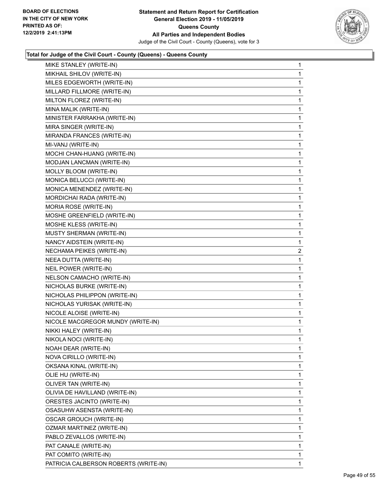

| MIKE STANLEY (WRITE-IN)           | 1 |
|-----------------------------------|---|
| MIKHAIL SHILOV (WRITE-IN)         | 1 |
| MILES EDGEWORTH (WRITE-IN)        | 1 |
| MILLARD FILLMORE (WRITE-IN)       | 1 |
| MILTON FLOREZ (WRITE-IN)          | 1 |
| MINA MALIK (WRITE-IN)             | 1 |
| MINISTER FARRAKHA (WRITE-IN)      | 1 |
| MIRA SINGER (WRITE-IN)            | 1 |
| MIRANDA FRANCES (WRITE-IN)        | 1 |
| MI-VANJ (WRITE-IN)                | 1 |
| MOCHI CHAN-HUANG (WRITE-IN)       | 1 |
| MODJAN LANCMAN (WRITE-IN)         | 1 |
| MOLLY BLOOM (WRITE-IN)            | 1 |
| MONICA BELUCCI (WRITE-IN)         | 1 |
| MONICA MENENDEZ (WRITE-IN)        | 1 |
| MORDICHAI RADA (WRITE-IN)         | 1 |
| <b>MORIA ROSE (WRITE-IN)</b>      | 1 |
| MOSHE GREENFIELD (WRITE-IN)       | 1 |
| MOSHE KLESS (WRITE-IN)            | 1 |
| MUSTY SHERMAN (WRITE-IN)          | 1 |
| NANCY AIDSTEIN (WRITE-IN)         | 1 |
| NECHAMA PEIKES (WRITE-IN)         | 2 |
| NEEA DUTTA (WRITE-IN)             | 1 |
| NEIL POWER (WRITE-IN)             | 1 |
| NELSON CAMACHO (WRITE-IN)         | 1 |
| NICHOLAS BURKE (WRITE-IN)         | 1 |
| NICHOLAS PHILIPPON (WRITE-IN)     | 1 |
| NICHOLAS YURISAK (WRITE-IN)       | 1 |
| NICOLE ALOISE (WRITE-IN)          | 1 |
| NICOLE MACGREGOR MUNDY (WRITE-IN) | 1 |
| NIKKI HALEY (WRITE-IN)            | 1 |
| NIKOLA NOCI (WRITE-IN)            | 1 |
| NOAH DEAR (WRITE-IN)              | 1 |
| NOVA CIRILLO (WRITE-IN)           | 1 |
| OKSANA KINAL (WRITE-IN)           | 1 |
| OLIE HU (WRITE-IN)                | 1 |
| OLIVER TAN (WRITE-IN)             | 1 |
| OLIVIA DE HAVILLAND (WRITE-IN)    | 1 |
| ORESTES JACINTO (WRITE-IN)        | 1 |
| OSASUHW ASENSTA (WRITE-IN)        | 1 |
| OSCAR GROUCH (WRITE-IN)           | 1 |
| OZMAR MARTINEZ (WRITE-IN)         | 1 |
| PABLO ZEVALLOS (WRITE-IN)         | 1 |
| PAT CANALE (WRITE-IN)             | 1 |
|                                   |   |
| PAT COMITO (WRITE-IN)             | 1 |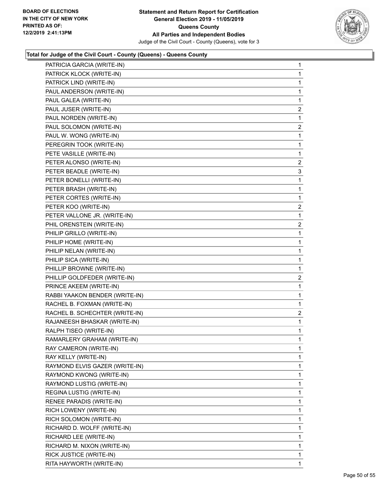

| PATRICIA GARCIA (WRITE-IN)     | $\mathbf{1}$   |
|--------------------------------|----------------|
| PATRICK KLOCK (WRITE-IN)       | $\mathbf{1}$   |
| PATRICK LIND (WRITE-IN)        | $\mathbf{1}$   |
| PAUL ANDERSON (WRITE-IN)       | $\mathbf 1$    |
| PAUL GALEA (WRITE-IN)          | 1              |
| PAUL JUSER (WRITE-IN)          | 2              |
| PAUL NORDEN (WRITE-IN)         | $\mathbf{1}$   |
| PAUL SOLOMON (WRITE-IN)        | $\overline{c}$ |
| PAUL W. WONG (WRITE-IN)        | $\mathbf{1}$   |
| PEREGRIN TOOK (WRITE-IN)       | $\mathbf 1$    |
| PETE VASILLE (WRITE-IN)        | $\mathbf 1$    |
| PETER ALONSO (WRITE-IN)        | 2              |
| PETER BEADLE (WRITE-IN)        | 3              |
| PETER BONELLI (WRITE-IN)       | $\mathbf 1$    |
| PETER BRASH (WRITE-IN)         | $\mathbf{1}$   |
| PETER CORTES (WRITE-IN)        | 1              |
| PETER KOO (WRITE-IN)           | 2              |
| PETER VALLONE JR. (WRITE-IN)   | $\mathbf{1}$   |
| PHIL ORENSTEIN (WRITE-IN)      | $\overline{c}$ |
| PHILIP GRILLO (WRITE-IN)       | $\mathbf 1$    |
| PHILIP HOME (WRITE-IN)         | $\mathbf{1}$   |
| PHILIP NELAN (WRITE-IN)        | $\mathbf 1$    |
| PHILIP SICA (WRITE-IN)         | $\mathbf{1}$   |
| PHILLIP BROWNE (WRITE-IN)      | $\mathbf{1}$   |
| PHILLIP GOLDFEDER (WRITE-IN)   | 2              |
| PRINCE AKEEM (WRITE-IN)        | $\mathbf 1$    |
| RABBI YAAKON BENDER (WRITE-IN) | $\mathbf{1}$   |
| RACHEL B. FOXMAN (WRITE-IN)    | 1              |
| RACHEL B. SCHECHTER (WRITE-IN) | 2              |
| RAJANEESH BHASKAR (WRITE-IN)   | $\mathbf 1$    |
| RALPH TISEO (WRITE-IN)         | $\mathbf{1}$   |
| RAMARLERY GRAHAM (WRITE-IN)    | 1              |
| RAY CAMERON (WRITE-IN)         | 1              |
| RAY KELLY (WRITE-IN)           | 1              |
| RAYMOND ELVIS GAZER (WRITE-IN) | 1              |
| RAYMOND KWONG (WRITE-IN)       | $\mathbf{1}$   |
| RAYMOND LUSTIG (WRITE-IN)      | $\mathbf 1$    |
| REGINA LUSTIG (WRITE-IN)       | 1              |
| RENEE PARADIS (WRITE-IN)       | 1              |
| RICH LOWENY (WRITE-IN)         | 1              |
| RICH SOLOMON (WRITE-IN)        | $\mathbf 1$    |
| RICHARD D. WOLFF (WRITE-IN)    | $\mathbf{1}$   |
| RICHARD LEE (WRITE-IN)         | 1              |
| RICHARD M. NIXON (WRITE-IN)    | 1              |
| RICK JUSTICE (WRITE-IN)        | 1              |
| RITA HAYWORTH (WRITE-IN)       | 1              |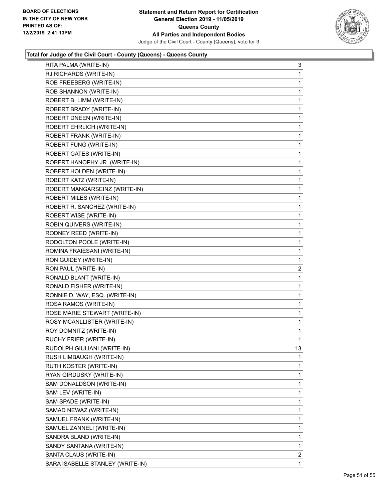

| RITA PALMA (WRITE-IN)            | 3  |
|----------------------------------|----|
| RJ RICHARDS (WRITE-IN)           | 1  |
| ROB FREEBERG (WRITE-IN)          | 1  |
| ROB SHANNON (WRITE-IN)           | 1  |
| ROBERT B. LIMM (WRITE-IN)        | 1  |
| ROBERT BRADY (WRITE-IN)          | 1  |
| ROBERT DNEEN (WRITE-IN)          | 1  |
| ROBERT EHRLICH (WRITE-IN)        | 1  |
| ROBERT FRANK (WRITE-IN)          | 1  |
| ROBERT FUNG (WRITE-IN)           | 1  |
| ROBERT GATES (WRITE-IN)          | 1  |
| ROBERT HANOPHY JR. (WRITE-IN)    | 1  |
| ROBERT HOLDEN (WRITE-IN)         | 1  |
| ROBERT KATZ (WRITE-IN)           | 1  |
| ROBERT MANGARSEINZ (WRITE-IN)    | 1  |
| ROBERT MILES (WRITE-IN)          | 1  |
| ROBERT R. SANCHEZ (WRITE-IN)     | 1  |
| ROBERT WISE (WRITE-IN)           | 1  |
| ROBIN QUIVERS (WRITE-IN)         | 1  |
| RODNEY REED (WRITE-IN)           | 1  |
| RODOLTON POOLE (WRITE-IN)        | 1  |
| ROMINA FRAIESANI (WRITE-IN)      | 1  |
| RON GUIDEY (WRITE-IN)            | 1  |
| RON PAUL (WRITE-IN)              | 2  |
| RONALD BLANT (WRITE-IN)          | 1  |
| RONALD FISHER (WRITE-IN)         | 1  |
| RONNIE D. WAY, ESQ. (WRITE-IN)   | 1  |
| ROSA RAMOS (WRITE-IN)            | 1  |
| ROSE MARIE STEWART (WRITE-IN)    | 1  |
| ROSY MCANLLISTER (WRITE-IN)      | 1  |
| ROY DOMNITZ (WRITE-IN)           | 1  |
| RUCHY FRIER (WRITE-IN)           | 1  |
| RUDOLPH GIULIANI (WRITE-IN)      | 13 |
| RUSH LIMBAUGH (WRITE-IN)         | 1  |
| RUTH KOSTER (WRITE-IN)           | 1  |
| RYAN GIRDUSKY (WRITE-IN)         | 1  |
| SAM DONALDSON (WRITE-IN)         | 1  |
| SAM LEV (WRITE-IN)               | 1  |
| SAM SPADE (WRITE-IN)             | 1  |
| SAMAD NEWAZ (WRITE-IN)           | 1  |
| SAMUEL FRANK (WRITE-IN)          | 1  |
| SAMUEL ZANNELI (WRITE-IN)        | 1  |
| SANDRA BLAND (WRITE-IN)          | 1  |
| SANDY SANTANA (WRITE-IN)         | 1  |
| SANTA CLAUS (WRITE-IN)           | 2  |
| SARA ISABELLE STANLEY (WRITE-IN) | 1  |
|                                  |    |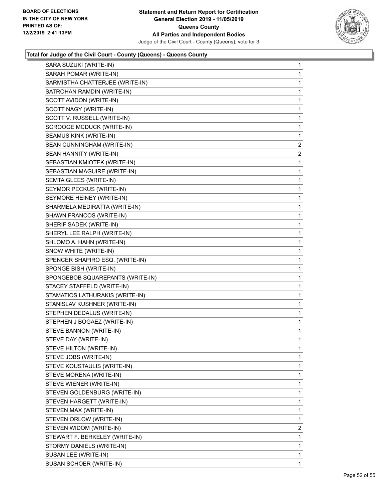

| SARA SUZUKI (WRITE-IN)           | $\mathbf{1}$            |
|----------------------------------|-------------------------|
| SARAH POMAR (WRITE-IN)           | $\mathbf{1}$            |
| SARMISTHA CHATTERJEE (WRITE-IN)  | 1                       |
| SATROHAN RAMDIN (WRITE-IN)       | $\mathbf{1}$            |
| SCOTT AVIDON (WRITE-IN)          | 1                       |
| SCOTT NAGY (WRITE-IN)            | 1                       |
| SCOTT V. RUSSELL (WRITE-IN)      | $\mathbf 1$             |
| <b>SCROOGE MCDUCK (WRITE-IN)</b> | $\mathbf 1$             |
| SEAMUS KINK (WRITE-IN)           | 1                       |
| SEAN CUNNINGHAM (WRITE-IN)       | $\overline{\mathbf{c}}$ |
| SEAN HANNITY (WRITE-IN)          | 2                       |
| SEBASTIAN KMIOTEK (WRITE-IN)     | 1                       |
| SEBASTIAN MAGUIRE (WRITE-IN)     | $\mathbf 1$             |
| SEMTA GLEES (WRITE-IN)           | $\mathbf 1$             |
| SEYMOR PECKUS (WRITE-IN)         | 1                       |
| SEYMORE HEINEY (WRITE-IN)        | $\mathbf{1}$            |
| SHARMELA MEDIRATTA (WRITE-IN)    | 1                       |
| SHAWN FRANCOS (WRITE-IN)         | 1                       |
| SHERIF SADEK (WRITE-IN)          | $\mathbf 1$             |
| SHERYL LEE RALPH (WRITE-IN)      | $\mathbf 1$             |
| SHLOMO A. HAHN (WRITE-IN)        | $\mathbf 1$             |
| SNOW WHITE (WRITE-IN)            | $\mathbf{1}$            |
| SPENCER SHAPIRO ESQ. (WRITE-IN)  | 1                       |
| SPONGE BISH (WRITE-IN)           | 1                       |
| SPONGEBOB SQUAREPANTS (WRITE-IN) | $\mathbf 1$             |
| STACEY STAFFELD (WRITE-IN)       | $\mathbf 1$             |
| STAMATIOS LATHURAKIS (WRITE-IN)  | 1                       |
| STANISLAV KUSHNER (WRITE-IN)     | $\mathbf{1}$            |
| STEPHEN DEDALUS (WRITE-IN)       | 1                       |
| STEPHEN J BOGAEZ (WRITE-IN)      | 1                       |
| STEVE BANNON (WRITE-IN)          | $\mathbf{1}$            |
| STEVE DAY (WRITE-IN)             | 1                       |
| STEVE HILTON (WRITE-IN)          | 1                       |
| STEVE JOBS (WRITE-IN)            | $\mathbf{1}$            |
| STEVE KOUSTAULIS (WRITE-IN)      | 1                       |
| STEVE MORENA (WRITE-IN)          | 1                       |
| STEVE WIENER (WRITE-IN)          | 1                       |
| STEVEN GOLDENBURG (WRITE-IN)     | 1                       |
| STEVEN HARGETT (WRITE-IN)        | 1                       |
| STEVEN MAX (WRITE-IN)            | $\mathbf{1}$            |
| STEVEN ORLOW (WRITE-IN)          | 1                       |
| STEVEN WIDOM (WRITE-IN)          | 2                       |
| STEWART F. BERKELEY (WRITE-IN)   | $\mathbf{1}$            |
| STORMY DANIELS (WRITE-IN)        | 1                       |
| SUSAN LEE (WRITE-IN)             | 1                       |
| SUSAN SCHOER (WRITE-IN)          | $\mathbf{1}$            |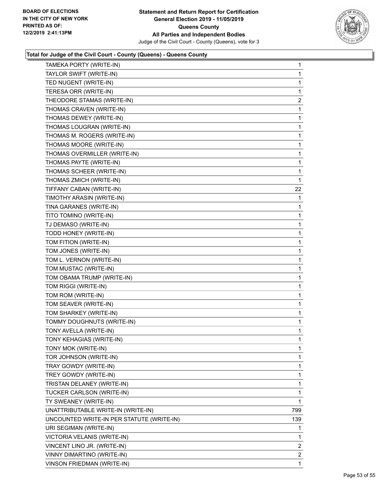

| TAMEKA PORTY (WRITE-IN)                   | 1              |
|-------------------------------------------|----------------|
| TAYLOR SWIFT (WRITE-IN)                   | 1              |
| TED NUGENT (WRITE-IN)                     | 1              |
| TERESA ORR (WRITE-IN)                     | 1              |
| THEODORE STAMAS (WRITE-IN)                | $\overline{a}$ |
| THOMAS CRAVEN (WRITE-IN)                  | 1              |
| THOMAS DEWEY (WRITE-IN)                   | 1              |
| THOMAS LOUGRAN (WRITE-IN)                 | 1              |
| THOMAS M. ROGERS (WRITE-IN)               | 1              |
| THOMAS MOORE (WRITE-IN)                   | 1              |
| THOMAS OVERMILLER (WRITE-IN)              | 1              |
| THOMAS PAYTE (WRITE-IN)                   | 1              |
| THOMAS SCHEER (WRITE-IN)                  | 1              |
| THOMAS ZMICH (WRITE-IN)                   | $\mathbf{1}$   |
| TIFFANY CABAN (WRITE-IN)                  | 22             |
| TIMOTHY ARASIN (WRITE-IN)                 | 1              |
| TINA GARANES (WRITE-IN)                   | 1              |
| TITO TOMINO (WRITE-IN)                    | 1              |
| TJ DEMASO (WRITE-IN)                      | 1              |
| TODD HONEY (WRITE-IN)                     | 1              |
| TOM FITION (WRITE-IN)                     | 1              |
| TOM JONES (WRITE-IN)                      | 1              |
| TOM L. VERNON (WRITE-IN)                  | 1              |
| TOM MUSTAC (WRITE-IN)                     | 1              |
| TOM OBAMA TRUMP (WRITE-IN)                | 1              |
| TOM RIGGI (WRITE-IN)                      | 1              |
| TOM ROM (WRITE-IN)                        | 1              |
| TOM SEAVER (WRITE-IN)                     | 1              |
| TOM SHARKEY (WRITE-IN)                    | 1              |
| TOMMY DOUGHNUTS (WRITE-IN)                | 1              |
| TONY AVELLA (WRITE-IN)                    | 1              |
| TONY KEHAGIAS (WRITE-IN)                  | 1              |
| TONY MOK (WRITE-IN)                       | 1              |
| TOR JOHNSON (WRITE-IN)                    | 1              |
| TRAY GOWDY (WRITE-IN)                     | 1              |
| TREY GOWDY (WRITE-IN)                     | 1              |
| TRISTAN DELANEY (WRITE-IN)                | 1              |
| TUCKER CARLSON (WRITE-IN)                 | 1              |
| TY SWEANEY (WRITE-IN)                     | 1              |
| UNATTRIBUTABLE WRITE-IN (WRITE-IN)        | 799            |
| UNCOUNTED WRITE-IN PER STATUTE (WRITE-IN) | 139            |
| URI SEGIMAN (WRITE-IN)                    | 1              |
| VICTORIA VELANIS (WRITE-IN)               | 1              |
| VINCENT LINO JR. (WRITE-IN)               | $\overline{2}$ |
| VINNY DIMARTINO (WRITE-IN)                | $\overline{2}$ |
| VINSON FRIEDMAN (WRITE-IN)                | 1              |
|                                           |                |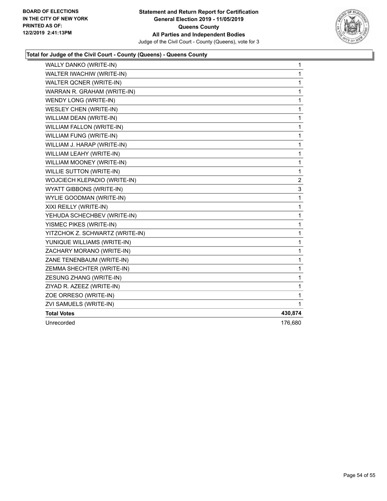

| WALLY DANKO (WRITE-IN)          | $\mathbf{1}$            |
|---------------------------------|-------------------------|
| WALTER IWACHIW (WRITE-IN)       | 1                       |
| WALTER QCNER (WRITE-IN)         | 1                       |
| WARRAN R. GRAHAM (WRITE-IN)     | 1                       |
| WENDY LONG (WRITE-IN)           | 1                       |
| <b>WESLEY CHEN (WRITE-IN)</b>   | 1                       |
| WILLIAM DEAN (WRITE-IN)         | 1                       |
| WILLIAM FALLON (WRITE-IN)       | 1                       |
| WILLIAM FUNG (WRITE-IN)         | $\mathbf{1}$            |
| WILLIAM J. HARAP (WRITE-IN)     | $\mathbf 1$             |
| WILLIAM LEAHY (WRITE-IN)        | 1                       |
| WILLIAM MOONEY (WRITE-IN)       | 1                       |
| <b>WILLIE SUTTON (WRITE-IN)</b> | 1                       |
| WOJCIECH KLEPADIO (WRITE-IN)    | $\overline{\mathbf{c}}$ |
| <b>WYATT GIBBONS (WRITE-IN)</b> | 3                       |
| WYLIE GOODMAN (WRITE-IN)        | 1                       |
| XIXI REILLY (WRITE-IN)          | $\mathbf 1$             |
| YEHUDA SCHECHBEV (WRITE-IN)     | 1                       |
| YISMEC PIKES (WRITE-IN)         | 1                       |
| YITZCHOK Z. SCHWARTZ (WRITE-IN) | $\mathbf{1}$            |
| YUNIQUE WILLIAMS (WRITE-IN)     | 1                       |
| ZACHARY MORANO (WRITE-IN)       | 1                       |
| ZANE TENENBAUM (WRITE-IN)       | 1                       |
| ZEMMA SHECHTER (WRITE-IN)       | 1                       |
| ZESUNG ZHANG (WRITE-IN)         | 1                       |
| ZIYAD R. AZEEZ (WRITE-IN)       | 1                       |
| ZOE ORRESO (WRITE-IN)           | 1                       |
| ZVI SAMUELS (WRITE-IN)          | 1                       |
| <b>Total Votes</b>              | 430,874                 |
| Unrecorded                      | 176,680                 |